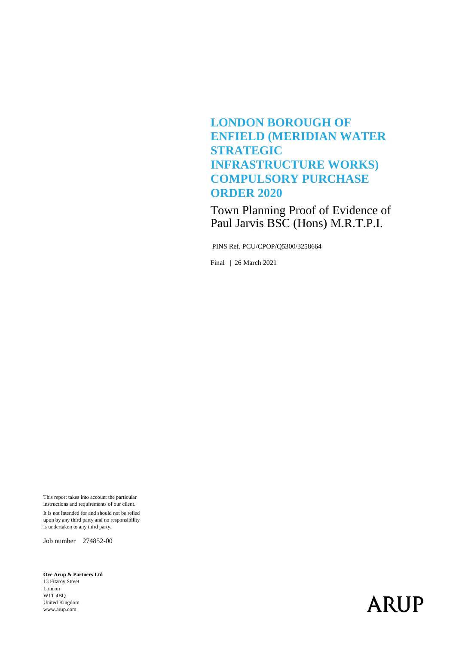#### **LONDON BOROUGH OF ENFIELD (MERIDIAN WATER STRATEGIC INFRASTRUCTURE WORKS) COMPULSORY PURCHASE ORDER 2020**

Town Planning Proof of Evidence of Paul Jarvis BSC (Hons) M.R.T.P.I.

PINS Ref. PCU/CPOP/Q5300/3258664

Final | 26 March 2021

This report takes into account the particular instructions and requirements of our client. It is not intended for and should not be relied upon by any third party and no responsibility is undertaken to any third party.

Job number 274852-00

**Ove Arup & Partners Ltd** 13 Fitzroy Street London W1T 4BQ United Kingdom www.arup.com

# **ARUP**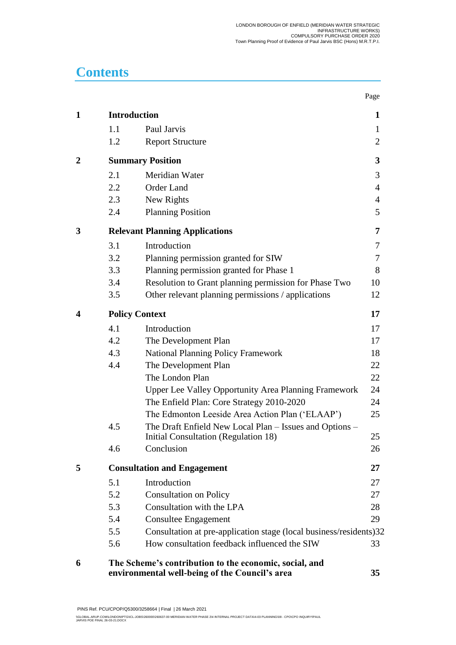# **Contents**

|                         |                                       |                                                                     | Page           |  |
|-------------------------|---------------------------------------|---------------------------------------------------------------------|----------------|--|
| $\mathbf{1}$            | <b>Introduction</b><br>1              |                                                                     |                |  |
|                         | 1.1                                   | Paul Jarvis                                                         | 1              |  |
|                         | 1.2                                   | <b>Report Structure</b>                                             | $\overline{2}$ |  |
| $\overline{2}$          |                                       | <b>Summary Position</b>                                             | 3              |  |
|                         | 2.1                                   | Meridian Water                                                      | 3              |  |
|                         | 2.2                                   | Order Land                                                          | $\overline{4}$ |  |
|                         | 2.3                                   | New Rights                                                          | 4              |  |
|                         | 2.4                                   | <b>Planning Position</b>                                            | 5              |  |
| 3                       | <b>Relevant Planning Applications</b> |                                                                     |                |  |
|                         | 3.1                                   | Introduction                                                        | 7              |  |
|                         | 3.2                                   | Planning permission granted for SIW                                 | 7              |  |
|                         | 3.3                                   | Planning permission granted for Phase 1                             | 8              |  |
|                         | 3.4                                   | Resolution to Grant planning permission for Phase Two               | 10             |  |
|                         | 3.5                                   | Other relevant planning permissions / applications                  | 12             |  |
| $\overline{\mathbf{4}}$ | <b>Policy Context</b>                 |                                                                     |                |  |
|                         | 4.1                                   | Introduction                                                        | 17             |  |
|                         | 4.2                                   | The Development Plan                                                | 17             |  |
|                         | 4.3                                   | <b>National Planning Policy Framework</b>                           | 18             |  |
|                         | 4.4                                   | The Development Plan                                                | 22             |  |
|                         |                                       | The London Plan                                                     | 22             |  |
|                         |                                       | <b>Upper Lee Valley Opportunity Area Planning Framework</b>         | 24             |  |
|                         |                                       | The Enfield Plan: Core Strategy 2010-2020                           | 24             |  |
|                         |                                       | The Edmonton Leeside Area Action Plan ('ELAAP')                     | 25             |  |
|                         | 4.5                                   | The Draft Enfield New Local Plan – Issues and Options –             |                |  |
|                         |                                       | Initial Consultation (Regulation 18)                                | 25             |  |
|                         | 4.6                                   | Conclusion                                                          | 26             |  |
| 5                       | <b>Consultation and Engagement</b>    |                                                                     |                |  |
|                         | 5.1                                   | Introduction                                                        | 27             |  |
|                         | 5.2                                   | <b>Consultation on Policy</b>                                       | 27             |  |
|                         | 5.3                                   | Consultation with the LPA                                           | 28             |  |
|                         | 5.4                                   | <b>Consultee Engagement</b>                                         | 29             |  |
|                         | 5.5                                   | Consultation at pre-application stage (local business/residents) 32 |                |  |
|                         | 5.6                                   | How consultation feedback influenced the SIW                        | 33             |  |
| 6                       |                                       | The Scheme's contribution to the economic, social, and              |                |  |
|                         |                                       | environmental well-being of the Council's area                      | 35             |  |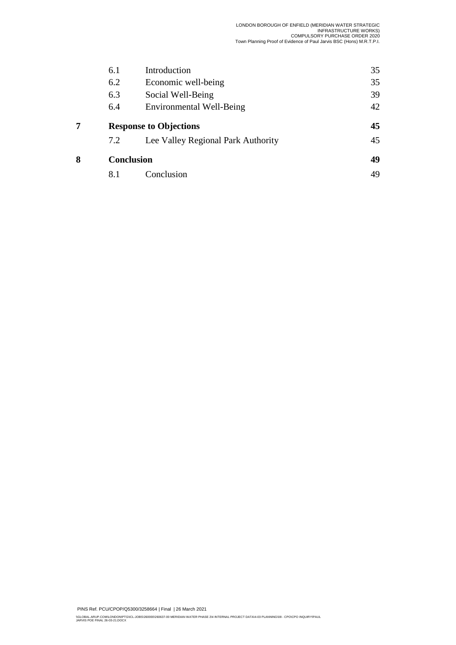|   | 6.1                           | Introduction                       | 35 |
|---|-------------------------------|------------------------------------|----|
|   | 6.2                           | Economic well-being                | 35 |
|   | 6.3                           | Social Well-Being                  | 39 |
|   | 6.4                           | <b>Environmental Well-Being</b>    | 42 |
| 7 | <b>Response to Objections</b> |                                    | 45 |
|   | 7.2                           | Lee Valley Regional Park Authority | 45 |
| 8 | <b>Conclusion</b>             |                                    | 49 |
|   | 8.1                           | Conclusion                         | 49 |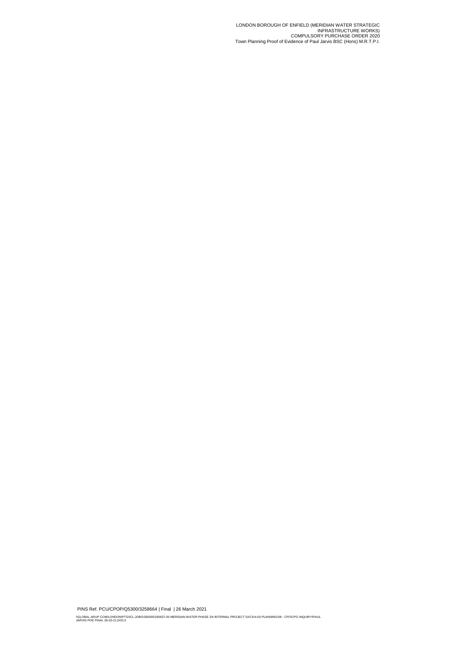LONDON BOROUGH OF ENFIELD (MERIDIAN WATER STRATEGIC<br>INFRASTRUCTURE WORKS)<br>COMPULSORY PURCHASE ORDER 2020<br>Town Planning Proof of Evidence of Paul Jarvis BSC (Hons) M.R.T.P.I.

PINS Ref. PCU/CPOP/Q5300/3258664 | Final | 26 March 2021

\\GLOBAL.ARUP.COM\LONDON\PTG\\CL-JOBS\260000\260637-00 MERIDIAN WATER PHASE 2\4 INTERNAL PROJECT DATA\4-03 PLANNING\08 - CPO\CPO INQUIRY\PAUL<br>JARVIS POE FINAL 26-03-21.DOCX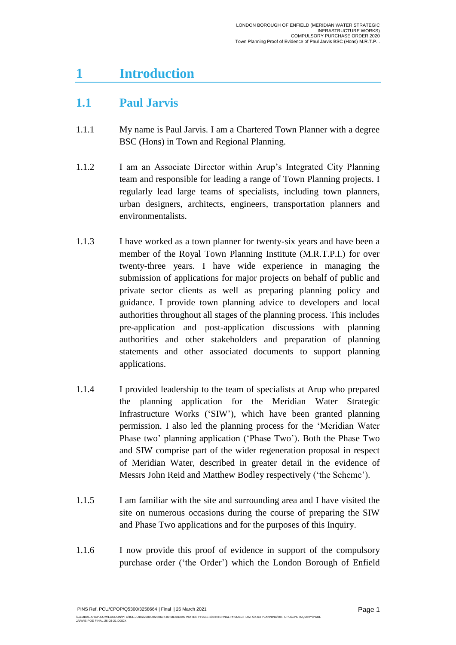# <span id="page-4-0"></span>**1 Introduction**

### <span id="page-4-1"></span>**1.1 Paul Jarvis**

- 1.1.1 My name is Paul Jarvis. I am a Chartered Town Planner with a degree BSC (Hons) in Town and Regional Planning.
- 1.1.2 I am an Associate Director within Arup's Integrated City Planning team and responsible for leading a range of Town Planning projects. I regularly lead large teams of specialists, including town planners, urban designers, architects, engineers, transportation planners and environmentalists.
- 1.1.3 I have worked as a town planner for twenty-six years and have been a member of the Royal Town Planning Institute (M.R.T.P.I.) for over twenty-three years. I have wide experience in managing the submission of applications for major projects on behalf of public and private sector clients as well as preparing planning policy and guidance. I provide town planning advice to developers and local authorities throughout all stages of the planning process. This includes pre-application and post-application discussions with planning authorities and other stakeholders and preparation of planning statements and other associated documents to support planning applications.
- 1.1.4 I provided leadership to the team of specialists at Arup who prepared the planning application for the Meridian Water Strategic Infrastructure Works ('SIW'), which have been granted planning permission. I also led the planning process for the 'Meridian Water Phase two' planning application ('Phase Two'). Both the Phase Two and SIW comprise part of the wider regeneration proposal in respect of Meridian Water, described in greater detail in the evidence of Messrs John Reid and Matthew Bodley respectively ('the Scheme').
- 1.1.5 I am familiar with the site and surrounding area and I have visited the site on numerous occasions during the course of preparing the SIW and Phase Two applications and for the purposes of this Inquiry.
- 1.1.6 I now provide this proof of evidence in support of the compulsory purchase order ('the Order') which the London Borough of Enfield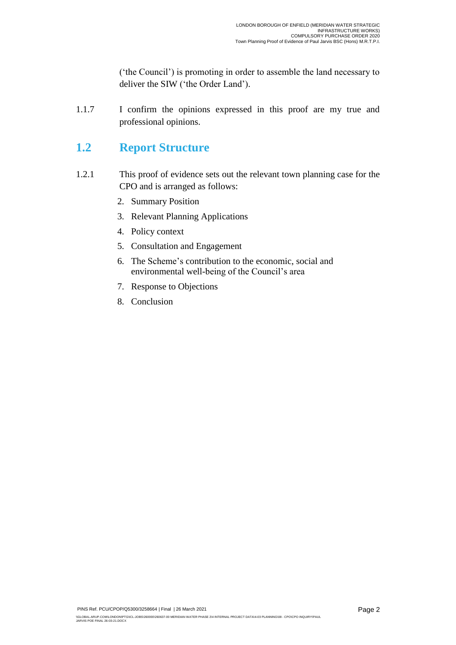('the Council') is promoting in order to assemble the land necessary to deliver the SIW ('the Order Land').

1.1.7 I confirm the opinions expressed in this proof are my true and professional opinions.

### <span id="page-5-0"></span>**1.2 Report Structure**

- 1.2.1 This proof of evidence sets out the relevant town planning case for the CPO and is arranged as follows:
	- 2. Summary Position
	- 3. Relevant Planning Applications
	- 4. Policy context
	- 5. Consultation and Engagement
	- 6. The Scheme's contribution to the economic, social and environmental well-being of the Council's area
	- 7. Response to Objections
	- 8. Conclusion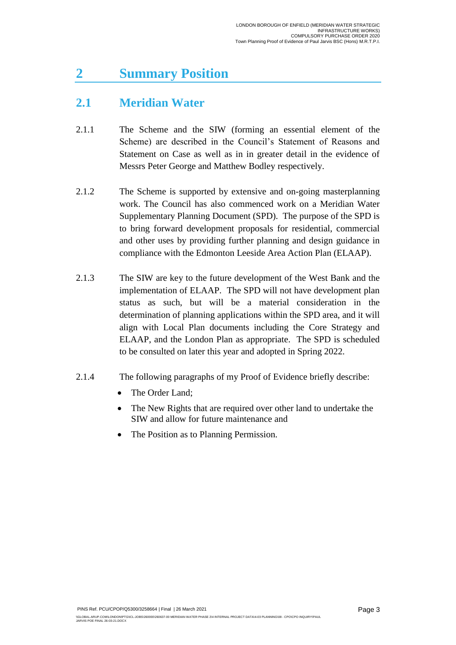# <span id="page-6-0"></span>**2 Summary Position**

### <span id="page-6-1"></span>**2.1 Meridian Water**

- 2.1.1 The Scheme and the SIW (forming an essential element of the Scheme) are described in the Council's Statement of Reasons and Statement on Case as well as in in greater detail in the evidence of Messrs Peter George and Matthew Bodley respectively.
- 2.1.2 The Scheme is supported by extensive and on-going masterplanning work. The Council has also commenced work on a Meridian Water Supplementary Planning Document (SPD). The purpose of the SPD is to bring forward development proposals for residential, commercial and other uses by providing further planning and design guidance in compliance with the Edmonton Leeside Area Action Plan (ELAAP).
- 2.1.3 The SIW are key to the future development of the West Bank and the implementation of ELAAP. The SPD will not have development plan status as such, but will be a material consideration in the determination of planning applications within the SPD area, and it will align with Local Plan documents including the Core Strategy and ELAAP, and the London Plan as appropriate. The SPD is scheduled to be consulted on later this year and adopted in Spring 2022.
- 2.1.4 The following paragraphs of my Proof of Evidence briefly describe:
	- The Order Land:
	- The New Rights that are required over other land to undertake the SIW and allow for future maintenance and
	- The Position as to Planning Permission.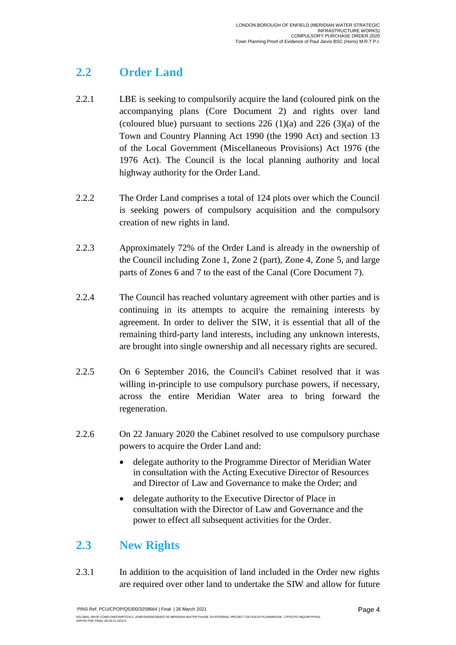### <span id="page-7-0"></span>**2.2 Order Land**

- 2.2.1 LBE is seeking to compulsorily acquire the land (coloured pink on the accompanying plans (Core Document 2) and rights over land (coloured blue) pursuant to sections  $226 (1)(a)$  and  $226 (3)(a)$  of the Town and Country Planning Act 1990 (the 1990 Act) and section 13 of the Local Government (Miscellaneous Provisions) Act 1976 (the 1976 Act). The Council is the local planning authority and local highway authority for the Order Land.
- 2.2.2 The Order Land comprises a total of 124 plots over which the Council is seeking powers of compulsory acquisition and the compulsory creation of new rights in land.
- 2.2.3 Approximately 72% of the Order Land is already in the ownership of the Council including Zone 1, Zone 2 (part), Zone 4, Zone 5, and large parts of Zones 6 and 7 to the east of the Canal (Core Document 7).
- 2.2.4 The Council has reached voluntary agreement with other parties and is continuing in its attempts to acquire the remaining interests by agreement. In order to deliver the SIW, it is essential that all of the remaining third-party land interests, including any unknown interests, are brought into single ownership and all necessary rights are secured.
- 2.2.5 On 6 September 2016, the Council's Cabinet resolved that it was willing in-principle to use compulsory purchase powers, if necessary, across the entire Meridian Water area to bring forward the regeneration.
- 2.2.6 On 22 January 2020 the Cabinet resolved to use compulsory purchase powers to acquire the Order Land and:
	- delegate authority to the Programme Director of Meridian Water in consultation with the Acting Executive Director of Resources and Director of Law and Governance to make the Order; and
	- delegate authority to the Executive Director of Place in consultation with the Director of Law and Governance and the power to effect all subsequent activities for the Order.

### <span id="page-7-1"></span>**2.3 New Rights**

2.3.1 In addition to the acquisition of land included in the Order new rights are required over other land to undertake the SIW and allow for future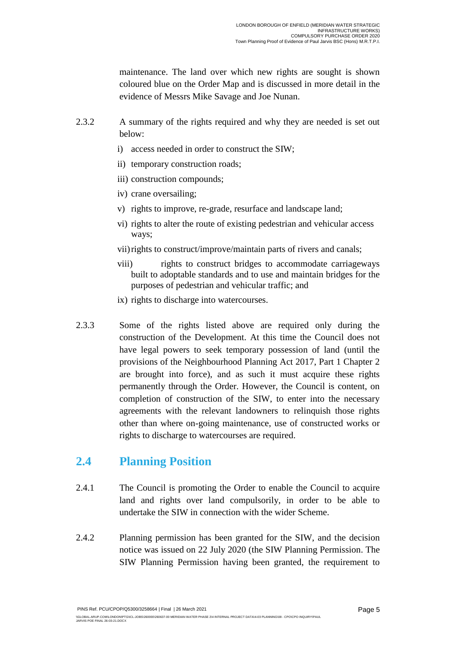maintenance. The land over which new rights are sought is shown coloured blue on the Order Map and is discussed in more detail in the evidence of Messrs Mike Savage and Joe Nunan.

- 2.3.2 A summary of the rights required and why they are needed is set out below:
	- i) access needed in order to construct the SIW;
	- ii) temporary construction roads;
	- iii) construction compounds;
	- iv) crane oversailing;
	- v) rights to improve, re-grade, resurface and landscape land;
	- vi) rights to alter the route of existing pedestrian and vehicular access ways;
	- vii)rights to construct/improve/maintain parts of rivers and canals;
	- viii) rights to construct bridges to accommodate carriageways built to adoptable standards and to use and maintain bridges for the purposes of pedestrian and vehicular traffic; and
	- ix) rights to discharge into watercourses.
- 2.3.3 Some of the rights listed above are required only during the construction of the Development. At this time the Council does not have legal powers to seek temporary possession of land (until the provisions of the Neighbourhood Planning Act 2017, Part 1 Chapter 2 are brought into force), and as such it must acquire these rights permanently through the Order. However, the Council is content, on completion of construction of the SIW, to enter into the necessary agreements with the relevant landowners to relinquish those rights other than where on-going maintenance, use of constructed works or rights to discharge to watercourses are required.

#### <span id="page-8-0"></span>**2.4 Planning Position**

- 2.4.1 The Council is promoting the Order to enable the Council to acquire land and rights over land compulsorily, in order to be able to undertake the SIW in connection with the wider Scheme.
- 2.4.2 Planning permission has been granted for the SIW, and the decision notice was issued on 22 July 2020 (the SIW Planning Permission. The SIW Planning Permission having been granted, the requirement to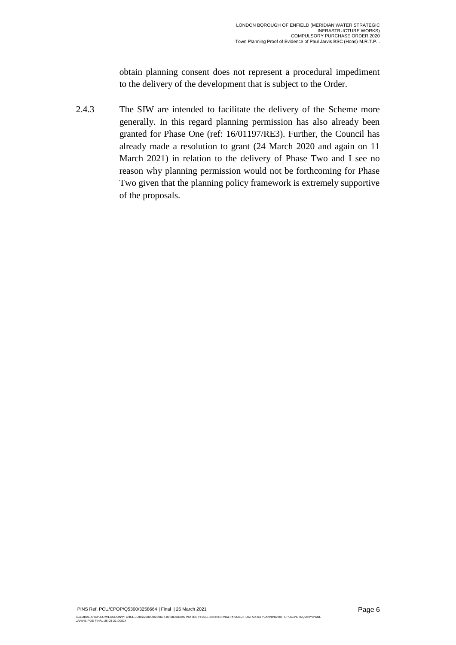obtain planning consent does not represent a procedural impediment to the delivery of the development that is subject to the Order.

2.4.3 The SIW are intended to facilitate the delivery of the Scheme more generally. In this regard planning permission has also already been granted for Phase One (ref: 16/01197/RE3). Further, the Council has already made a resolution to grant (24 March 2020 and again on 11 March 2021) in relation to the delivery of Phase Two and I see no reason why planning permission would not be forthcoming for Phase Two given that the planning policy framework is extremely supportive of the proposals.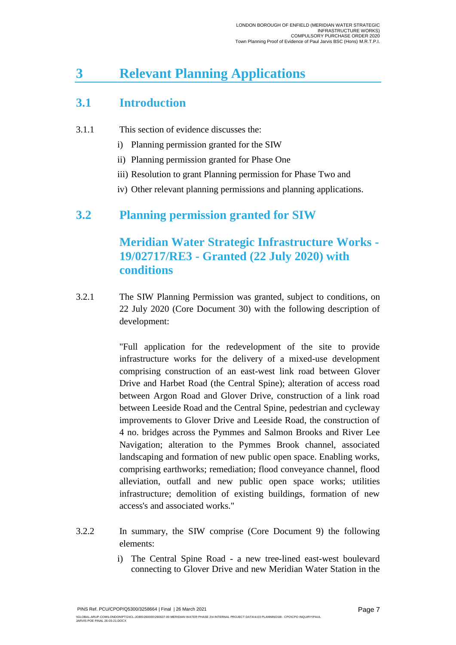# <span id="page-10-0"></span>**3 Relevant Planning Applications**

### <span id="page-10-1"></span>**3.1 Introduction**

- 3.1.1 This section of evidence discusses the:
	- i) Planning permission granted for the SIW
	- ii) Planning permission granted for Phase One
	- iii) Resolution to grant Planning permission for Phase Two and
	- iv) Other relevant planning permissions and planning applications.

#### <span id="page-10-2"></span>**3.2 Planning permission granted for SIW**

#### **Meridian Water Strategic Infrastructure Works - 19/02717/RE3 - Granted (22 July 2020) with conditions**

3.2.1 The SIW Planning Permission was granted, subject to conditions, on 22 July 2020 (Core Document 30) with the following description of development:

> "Full application for the redevelopment of the site to provide infrastructure works for the delivery of a mixed-use development comprising construction of an east-west link road between Glover Drive and Harbet Road (the Central Spine); alteration of access road between Argon Road and Glover Drive, construction of a link road between Leeside Road and the Central Spine, pedestrian and cycleway improvements to Glover Drive and Leeside Road, the construction of 4 no. bridges across the Pymmes and Salmon Brooks and River Lee Navigation; alteration to the Pymmes Brook channel, associated landscaping and formation of new public open space. Enabling works, comprising earthworks; remediation; flood conveyance channel, flood alleviation, outfall and new public open space works; utilities infrastructure; demolition of existing buildings, formation of new access's and associated works."

- 3.2.2 In summary, the SIW comprise (Core Document 9) the following elements:
	- i) The Central Spine Road a new tree-lined east-west boulevard connecting to Glover Drive and new Meridian Water Station in the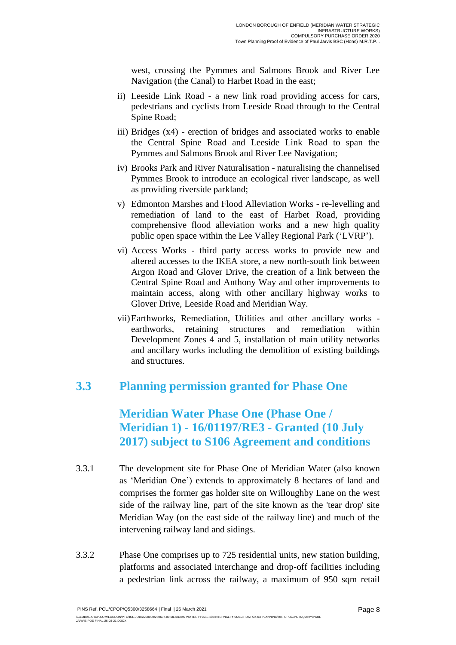west, crossing the Pymmes and Salmons Brook and River Lee Navigation (the Canal) to Harbet Road in the east;

- ii) Leeside Link Road a new link road providing access for cars, pedestrians and cyclists from Leeside Road through to the Central Spine Road;
- iii) Bridges (x4) erection of bridges and associated works to enable the Central Spine Road and Leeside Link Road to span the Pymmes and Salmons Brook and River Lee Navigation;
- iv) Brooks Park and River Naturalisation naturalising the channelised Pymmes Brook to introduce an ecological river landscape, as well as providing riverside parkland;
- v) Edmonton Marshes and Flood Alleviation Works re-levelling and remediation of land to the east of Harbet Road, providing comprehensive flood alleviation works and a new high quality public open space within the Lee Valley Regional Park ('LVRP').
- vi) Access Works third party access works to provide new and altered accesses to the IKEA store, a new north-south link between Argon Road and Glover Drive, the creation of a link between the Central Spine Road and Anthony Way and other improvements to maintain access, along with other ancillary highway works to Glover Drive, Leeside Road and Meridian Way.
- vii)Earthworks, Remediation, Utilities and other ancillary works earthworks, retaining structures and remediation within Development Zones 4 and 5, installation of main utility networks and ancillary works including the demolition of existing buildings and structures.

#### <span id="page-11-0"></span>**3.3 Planning permission granted for Phase One**

#### **Meridian Water Phase One (Phase One / Meridian 1) - 16/01197/RE3 - Granted (10 July 2017) subject to S106 Agreement and conditions**

- 3.3.1 The development site for Phase One of Meridian Water (also known as 'Meridian One') extends to approximately 8 hectares of land and comprises the former gas holder site on Willoughby Lane on the west side of the railway line, part of the site known as the 'tear drop' site Meridian Way (on the east side of the railway line) and much of the intervening railway land and sidings.
- 3.3.2 Phase One comprises up to 725 residential units, new station building, platforms and associated interchange and drop-off facilities including a pedestrian link across the railway, a maximum of 950 sqm retail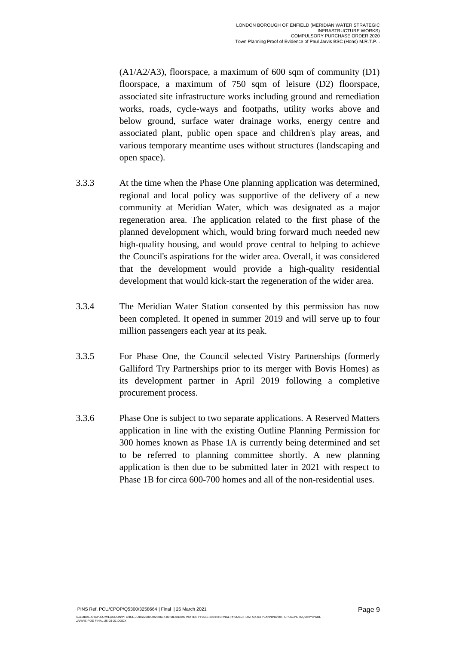(A1/A2/A3), floorspace, a maximum of 600 sqm of community (D1) floorspace, a maximum of 750 sqm of leisure (D2) floorspace, associated site infrastructure works including ground and remediation works, roads, cycle-ways and footpaths, utility works above and below ground, surface water drainage works, energy centre and associated plant, public open space and children's play areas, and various temporary meantime uses without structures (landscaping and open space).

- 3.3.3 At the time when the Phase One planning application was determined, regional and local policy was supportive of the delivery of a new community at Meridian Water, which was designated as a major regeneration area. The application related to the first phase of the planned development which, would bring forward much needed new high-quality housing, and would prove central to helping to achieve the Council's aspirations for the wider area. Overall, it was considered that the development would provide a high-quality residential development that would kick-start the regeneration of the wider area.
- 3.3.4 The Meridian Water Station consented by this permission has now been completed. It opened in summer 2019 and will serve up to four million passengers each year at its peak.
- 3.3.5 For Phase One, the Council selected Vistry Partnerships (formerly Galliford Try Partnerships prior to its merger with Bovis Homes) as its development partner in April 2019 following a completive procurement process.
- 3.3.6 Phase One is subject to two separate applications. A Reserved Matters application in line with the existing Outline Planning Permission for 300 homes known as Phase 1A is currently being determined and set to be referred to planning committee shortly. A new planning application is then due to be submitted later in 2021 with respect to Phase 1B for circa 600-700 homes and all of the non-residential uses.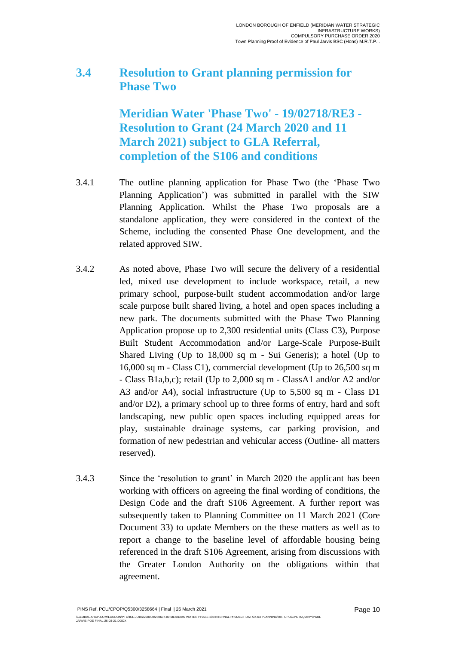### <span id="page-13-0"></span>**3.4 Resolution to Grant planning permission for Phase Two**

**Meridian Water 'Phase Two' - 19/02718/RE3 - Resolution to Grant (24 March 2020 and 11 March 2021) subject to GLA Referral, completion of the S106 and conditions** 

- 3.4.1 The outline planning application for Phase Two (the 'Phase Two Planning Application') was submitted in parallel with the SIW Planning Application. Whilst the Phase Two proposals are a standalone application, they were considered in the context of the Scheme, including the consented Phase One development, and the related approved SIW.
- 3.4.2 As noted above, Phase Two will secure the delivery of a residential led, mixed use development to include workspace, retail, a new primary school, purpose-built student accommodation and/or large scale purpose built shared living, a hotel and open spaces including a new park. The documents submitted with the Phase Two Planning Application propose up to 2,300 residential units (Class C3), Purpose Built Student Accommodation and/or Large-Scale Purpose-Built Shared Living (Up to 18,000 sq m - Sui Generis); a hotel (Up to 16,000 sq m - Class C1), commercial development (Up to 26,500 sq m - Class B1a,b,c); retail (Up to 2,000 sq m - ClassA1 and/or A2 and/or A3 and/or A4), social infrastructure (Up to 5,500 sq m - Class D1 and/or D2), a primary school up to three forms of entry, hard and soft landscaping, new public open spaces including equipped areas for play, sustainable drainage systems, car parking provision, and formation of new pedestrian and vehicular access (Outline- all matters reserved).
- 3.4.3 Since the 'resolution to grant' in March 2020 the applicant has been working with officers on agreeing the final wording of conditions, the Design Code and the draft S106 Agreement. A further report was subsequently taken to Planning Committee on 11 March 2021 (Core Document 33) to update Members on the these matters as well as to report a change to the baseline level of affordable housing being referenced in the draft S106 Agreement, arising from discussions with the Greater London Authority on the obligations within that agreement.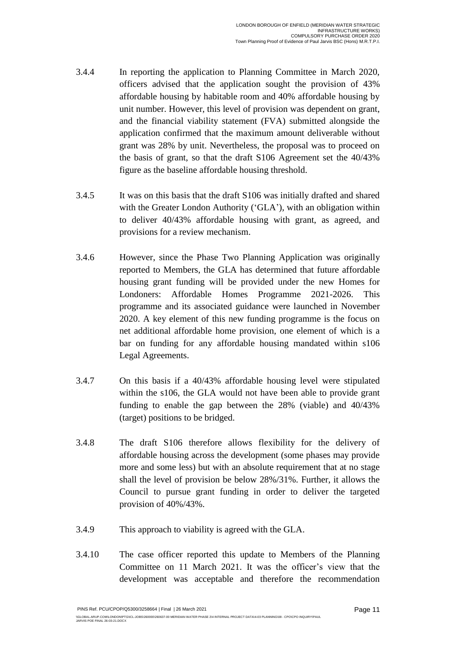- 3.4.4 In reporting the application to Planning Committee in March 2020, officers advised that the application sought the provision of 43% affordable housing by habitable room and 40% affordable housing by unit number. However, this level of provision was dependent on grant, and the financial viability statement (FVA) submitted alongside the application confirmed that the maximum amount deliverable without grant was 28% by unit. Nevertheless, the proposal was to proceed on the basis of grant, so that the draft S106 Agreement set the 40/43% figure as the baseline affordable housing threshold.
- 3.4.5 It was on this basis that the draft S106 was initially drafted and shared with the Greater London Authority ('GLA'), with an obligation within to deliver 40/43% affordable housing with grant, as agreed, and provisions for a review mechanism.
- 3.4.6 However, since the Phase Two Planning Application was originally reported to Members, the GLA has determined that future affordable housing grant funding will be provided under the new Homes for Londoners: Affordable Homes Programme 2021-2026. This programme and its associated guidance were launched in November 2020. A key element of this new funding programme is the focus on net additional affordable home provision, one element of which is a bar on funding for any affordable housing mandated within s106 Legal Agreements.
- 3.4.7 On this basis if a 40/43% affordable housing level were stipulated within the s106, the GLA would not have been able to provide grant funding to enable the gap between the 28% (viable) and 40/43% (target) positions to be bridged.
- 3.4.8 The draft S106 therefore allows flexibility for the delivery of affordable housing across the development (some phases may provide more and some less) but with an absolute requirement that at no stage shall the level of provision be below 28%/31%. Further, it allows the Council to pursue grant funding in order to deliver the targeted provision of 40%/43%.
- 3.4.9 This approach to viability is agreed with the GLA.
- 3.4.10 The case officer reported this update to Members of the Planning Committee on 11 March 2021. It was the officer's view that the development was acceptable and therefore the recommendation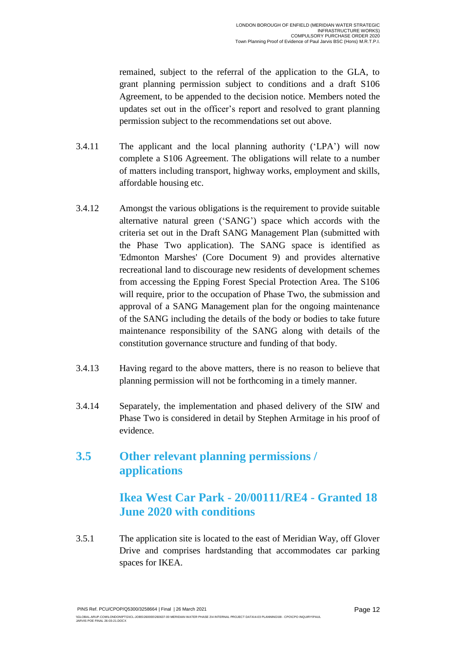remained, subject to the referral of the application to the GLA, to grant planning permission subject to conditions and a draft S106 Agreement, to be appended to the decision notice. Members noted the updates set out in the officer's report and resolved to grant planning permission subject to the recommendations set out above.

- 3.4.11 The applicant and the local planning authority ('LPA') will now complete a S106 Agreement. The obligations will relate to a number of matters including transport, highway works, employment and skills, affordable housing etc.
- 3.4.12 Amongst the various obligations is the requirement to provide suitable alternative natural green ('SANG') space which accords with the criteria set out in the Draft SANG Management Plan (submitted with the Phase Two application). The SANG space is identified as 'Edmonton Marshes' (Core Document 9) and provides alternative recreational land to discourage new residents of development schemes from accessing the Epping Forest Special Protection Area. The S106 will require, prior to the occupation of Phase Two, the submission and approval of a SANG Management plan for the ongoing maintenance of the SANG including the details of the body or bodies to take future maintenance responsibility of the SANG along with details of the constitution governance structure and funding of that body.
- 3.4.13 Having regard to the above matters, there is no reason to believe that planning permission will not be forthcoming in a timely manner.
- 3.4.14 Separately, the implementation and phased delivery of the SIW and Phase Two is considered in detail by Stephen Armitage in his proof of evidence.

#### <span id="page-15-0"></span>**3.5 Other relevant planning permissions / applications**

#### **Ikea West Car Park - 20/00111/RE4 - Granted 18 June 2020 with conditions**

3.5.1 The application site is located to the east of Meridian Way, off Glover Drive and comprises hardstanding that accommodates car parking spaces for IKEA.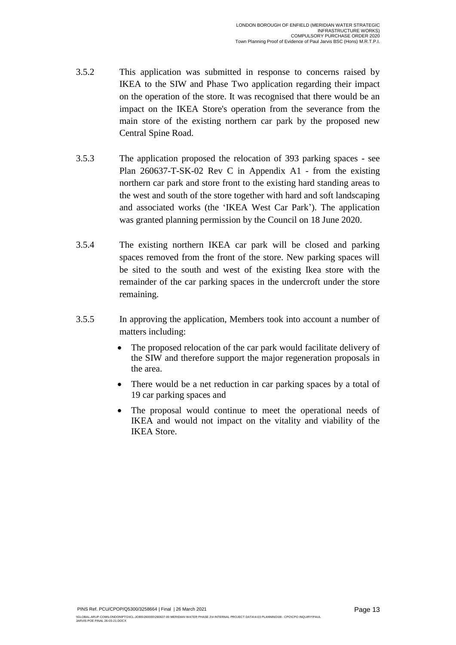- 3.5.2 This application was submitted in response to concerns raised by IKEA to the SIW and Phase Two application regarding their impact on the operation of the store. It was recognised that there would be an impact on the IKEA Store's operation from the severance from the main store of the existing northern car park by the proposed new Central Spine Road.
- 3.5.3 The application proposed the relocation of 393 parking spaces see Plan 260637-T-SK-02 Rev C in Appendix A1 - from the existing northern car park and store front to the existing hard standing areas to the west and south of the store together with hard and soft landscaping and associated works (the 'IKEA West Car Park'). The application was granted planning permission by the Council on 18 June 2020.
- 3.5.4 The existing northern IKEA car park will be closed and parking spaces removed from the front of the store. New parking spaces will be sited to the south and west of the existing Ikea store with the remainder of the car parking spaces in the undercroft under the store remaining.
- 3.5.5 In approving the application, Members took into account a number of matters including:
	- The proposed relocation of the car park would facilitate delivery of the SIW and therefore support the major regeneration proposals in the area.
	- There would be a net reduction in car parking spaces by a total of 19 car parking spaces and
	- The proposal would continue to meet the operational needs of IKEA and would not impact on the vitality and viability of the IKEA Store.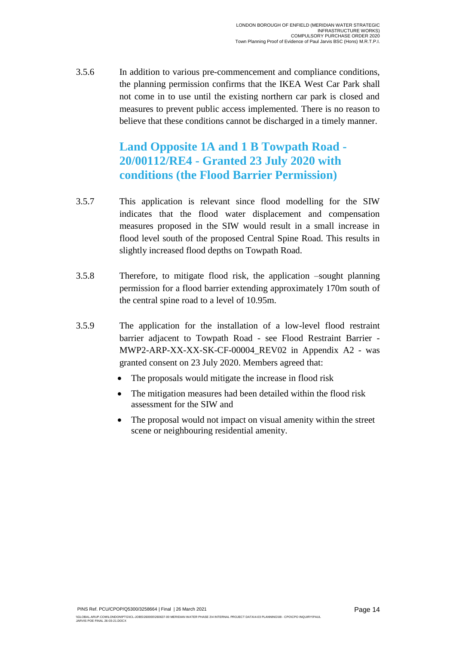3.5.6 In addition to various pre-commencement and compliance conditions, the planning permission confirms that the IKEA West Car Park shall not come in to use until the existing northern car park is closed and measures to prevent public access implemented. There is no reason to believe that these conditions cannot be discharged in a timely manner.

#### **Land Opposite 1A and 1 B Towpath Road - 20/00112/RE4 - Granted 23 July 2020 with conditions (the Flood Barrier Permission)**

- 3.5.7 This application is relevant since flood modelling for the SIW indicates that the flood water displacement and compensation measures proposed in the SIW would result in a small increase in flood level south of the proposed Central Spine Road. This results in slightly increased flood depths on Towpath Road.
- 3.5.8 Therefore, to mitigate flood risk, the application –sought planning permission for a flood barrier extending approximately 170m south of the central spine road to a level of 10.95m.
- 3.5.9 The application for the installation of a low-level flood restraint barrier adjacent to Towpath Road - see Flood Restraint Barrier - MWP2-ARP-XX-XX-SK-CF-00004\_REV02 in Appendix A2 - was granted consent on 23 July 2020. Members agreed that:
	- The proposals would mitigate the increase in flood risk
	- The mitigation measures had been detailed within the flood risk assessment for the SIW and
	- The proposal would not impact on visual amenity within the street scene or neighbouring residential amenity.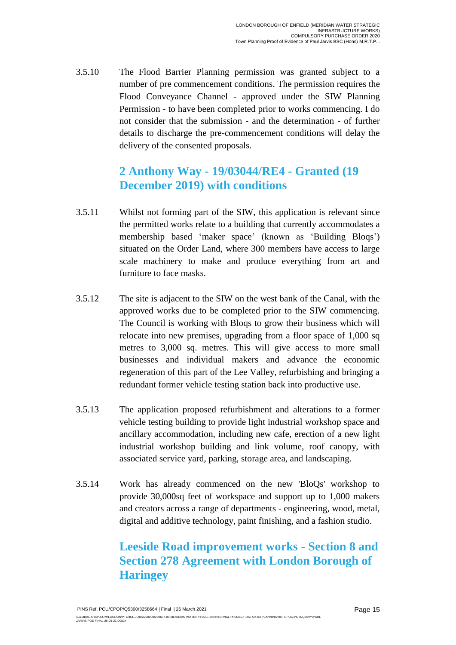3.5.10 The Flood Barrier Planning permission was granted subject to a number of pre commencement conditions. The permission requires the Flood Conveyance Channel - approved under the SIW Planning Permission - to have been completed prior to works commencing. I do not consider that the submission - and the determination - of further details to discharge the pre-commencement conditions will delay the delivery of the consented proposals.

#### **2 Anthony Way - 19/03044/RE4 - Granted (19 December 2019) with conditions**

- 3.5.11 Whilst not forming part of the SIW, this application is relevant since the permitted works relate to a building that currently accommodates a membership based 'maker space' (known as 'Building Bloqs') situated on the Order Land, where 300 members have access to large scale machinery to make and produce everything from art and furniture to face masks.
- 3.5.12 The site is adjacent to the SIW on the west bank of the Canal, with the approved works due to be completed prior to the SIW commencing. The Council is working with Bloqs to grow their business which will relocate into new premises, upgrading from a floor space of 1,000 sq metres to 3,000 sq. metres. This will give access to more small businesses and individual makers and advance the economic regeneration of this part of the Lee Valley, refurbishing and bringing a redundant former vehicle testing station back into productive use.
- 3.5.13 The application proposed refurbishment and alterations to a former vehicle testing building to provide light industrial workshop space and ancillary accommodation, including new cafe, erection of a new light industrial workshop building and link volume, roof canopy, with associated service yard, parking, storage area, and landscaping.
- 3.5.14 Work has already commenced on the new 'BloQs' workshop to provide 30,000sq feet of workspace and support up to 1,000 makers and creators across a range of departments - engineering, wood, metal, digital and additive technology, paint finishing, and a fashion studio.

### **Leeside Road improvement works - Section 8 and Section 278 Agreement with London Borough of Haringey**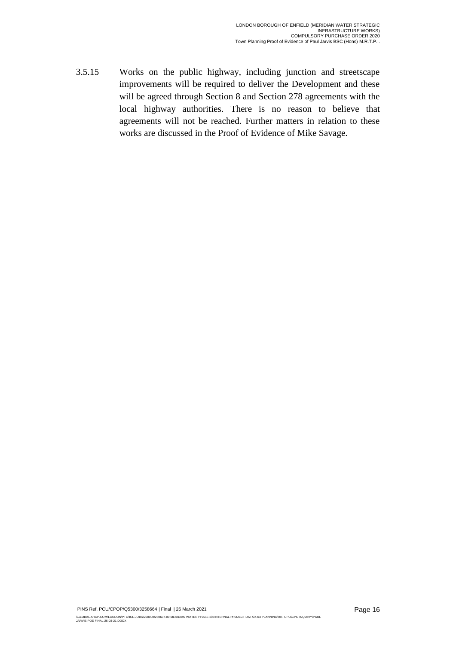3.5.15 Works on the public highway, including junction and streetscape improvements will be required to deliver the Development and these will be agreed through Section 8 and Section 278 agreements with the local highway authorities. There is no reason to believe that agreements will not be reached. Further matters in relation to these works are discussed in the Proof of Evidence of Mike Savage.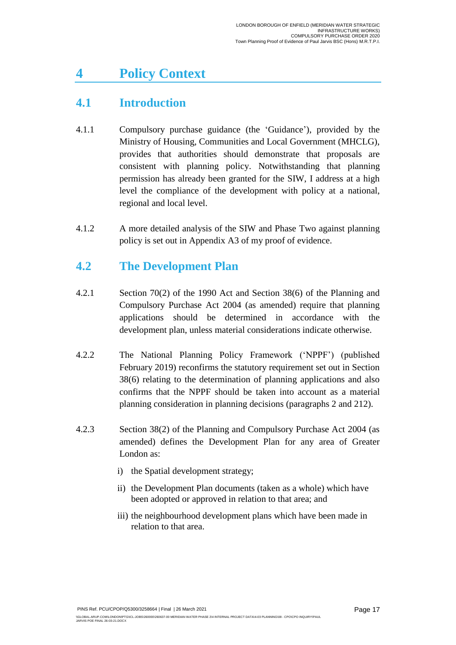# <span id="page-20-0"></span>**4 Policy Context**

#### <span id="page-20-1"></span>**4.1 Introduction**

- 4.1.1 Compulsory purchase guidance (the 'Guidance'), provided by the Ministry of Housing, Communities and Local Government (MHCLG), provides that authorities should demonstrate that proposals are consistent with planning policy. Notwithstanding that planning permission has already been granted for the SIW, I address at a high level the compliance of the development with policy at a national, regional and local level.
- 4.1.2 A more detailed analysis of the SIW and Phase Two against planning policy is set out in Appendix A3 of my proof of evidence.

#### <span id="page-20-2"></span>**4.2 The Development Plan**

- 4.2.1 Section 70(2) of the 1990 Act and Section 38(6) of the Planning and Compulsory Purchase Act 2004 (as amended) require that planning applications should be determined in accordance with the development plan, unless material considerations indicate otherwise.
- 4.2.2 The National Planning Policy Framework ('NPPF') (published February 2019) reconfirms the statutory requirement set out in Section 38(6) relating to the determination of planning applications and also confirms that the NPPF should be taken into account as a material planning consideration in planning decisions (paragraphs 2 and 212).
- 4.2.3 Section 38(2) of the Planning and Compulsory Purchase Act 2004 (as amended) defines the Development Plan for any area of Greater London as:
	- i) the Spatial development strategy;
	- ii) the Development Plan documents (taken as a whole) which have been adopted or approved in relation to that area; and
	- iii) the neighbourhood development plans which have been made in relation to that area.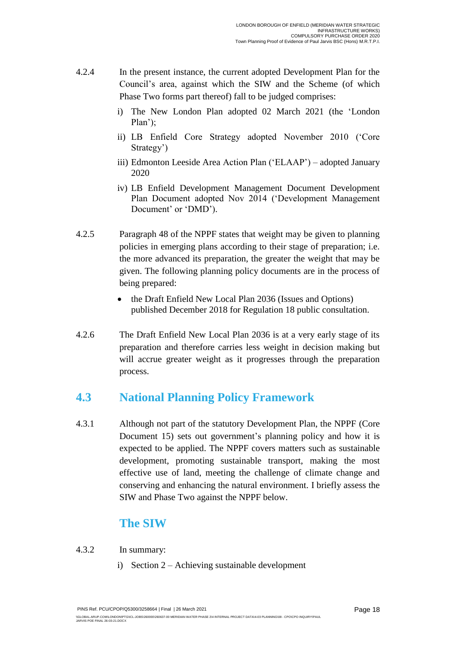- 4.2.4 In the present instance, the current adopted Development Plan for the Council's area, against which the SIW and the Scheme (of which Phase Two forms part thereof) fall to be judged comprises:
	- i) The New London Plan adopted 02 March 2021 (the 'London Plan');
	- ii) LB Enfield Core Strategy adopted November 2010 ('Core Strategy')
	- iii) Edmonton Leeside Area Action Plan ('ELAAP') adopted January 2020
	- iv) LB Enfield Development Management Document Development Plan Document adopted Nov 2014 ('Development Management Document' or 'DMD').
- 4.2.5 Paragraph 48 of the NPPF states that weight may be given to planning policies in emerging plans according to their stage of preparation; i.e. the more advanced its preparation, the greater the weight that may be given. The following planning policy documents are in the process of being prepared:
	- the Draft Enfield New Local Plan 2036 (Issues and Options) published December 2018 for Regulation 18 public consultation.
- 4.2.6 The Draft Enfield New Local Plan 2036 is at a very early stage of its preparation and therefore carries less weight in decision making but will accrue greater weight as it progresses through the preparation process.

### <span id="page-21-0"></span>**4.3 National Planning Policy Framework**

4.3.1 Although not part of the statutory Development Plan, the NPPF (Core Document 15) sets out government's planning policy and how it is expected to be applied. The NPPF covers matters such as sustainable development, promoting sustainable transport, making the most effective use of land, meeting the challenge of climate change and conserving and enhancing the natural environment. I briefly assess the SIW and Phase Two against the NPPF below.

#### **The SIW**

#### 4.3.2 In summary:

i) Section 2 – Achieving sustainable development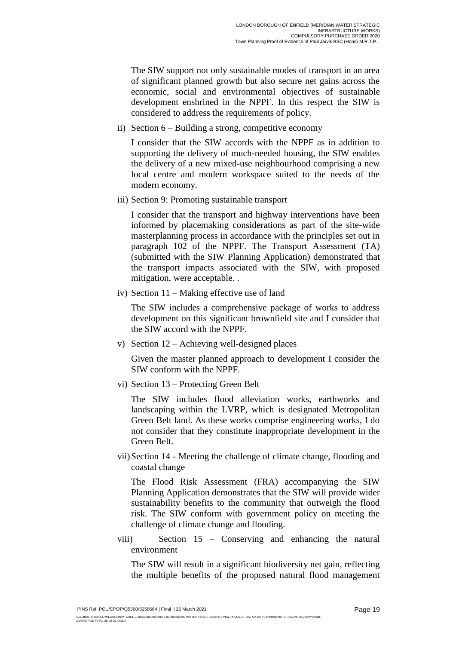The SIW support not only sustainable modes of transport in an area of significant planned growth but also secure net gains across the economic, social and environmental objectives of sustainable development enshrined in the NPPF. In this respect the SIW is considered to address the requirements of policy.

ii) Section 6 – Building a strong, competitive economy

I consider that the SIW accords with the NPPF as in addition to supporting the delivery of much-needed housing, the SIW enables the delivery of a new mixed-use neighbourhood comprising a new local centre and modern workspace suited to the needs of the modern economy.

iii) Section 9: Promoting sustainable transport

I consider that the transport and highway interventions have been informed by placemaking considerations as part of the site-wide masterplanning process in accordance with the principles set out in paragraph 102 of the NPPF. The Transport Assessment (TA) (submitted with the SIW Planning Application) demonstrated that the transport impacts associated with the SIW, with proposed mitigation, were acceptable. .

iv) Section 11 – Making effective use of land

The SIW includes a comprehensive package of works to address development on this significant brownfield site and I consider that the SIW accord with the NPPF.

v) Section 12 – Achieving well-designed places

Given the master planned approach to development I consider the SIW conform with the NPPF.

vi) Section 13 – Protecting Green Belt

The SIW includes flood alleviation works, earthworks and landscaping within the LVRP, which is designated Metropolitan Green Belt land. As these works comprise engineering works, I do not consider that they constitute inappropriate development in the Green Belt.

vii)Section 14 - Meeting the challenge of climate change, flooding and coastal change

The Flood Risk Assessment (FRA) accompanying the SIW Planning Application demonstrates that the SIW will provide wider sustainability benefits to the community that outweigh the flood risk. The SIW conform with government policy on meeting the challenge of climate change and flooding.

viii) Section 15 – Conserving and enhancing the natural environment

The SIW will result in a significant biodiversity net gain, reflecting the multiple benefits of the proposed natural flood management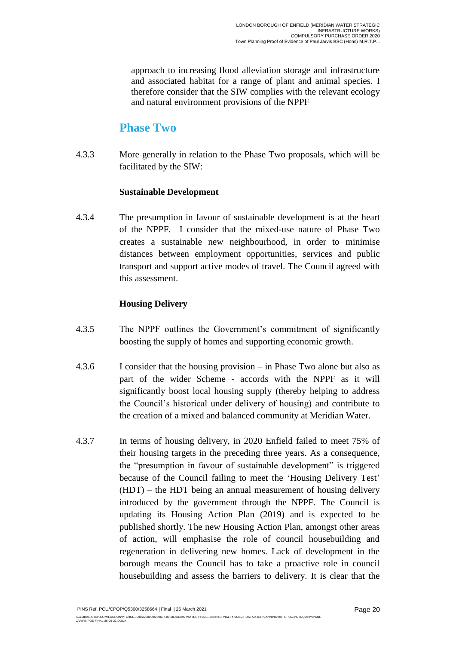approach to increasing flood alleviation storage and infrastructure and associated habitat for a range of plant and animal species. I therefore consider that the SIW complies with the relevant ecology and natural environment provisions of the NPPF

#### **Phase Two**

4.3.3 More generally in relation to the Phase Two proposals, which will be facilitated by the SIW:

#### **Sustainable Development**

4.3.4 The presumption in favour of sustainable development is at the heart of the NPPF. I consider that the mixed-use nature of Phase Two creates a sustainable new neighbourhood, in order to minimise distances between employment opportunities, services and public transport and support active modes of travel. The Council agreed with this assessment.

#### **Housing Delivery**

- 4.3.5 The NPPF outlines the Government's commitment of significantly boosting the supply of homes and supporting economic growth.
- 4.3.6 I consider that the housing provision in Phase Two alone but also as part of the wider Scheme - accords with the NPPF as it will significantly boost local housing supply (thereby helping to address the Council's historical under delivery of housing) and contribute to the creation of a mixed and balanced community at Meridian Water.
- 4.3.7 In terms of housing delivery, in 2020 Enfield failed to meet 75% of their housing targets in the preceding three years. As a consequence, the "presumption in favour of sustainable development" is triggered because of the Council failing to meet the 'Housing Delivery Test' (HDT) – the HDT being an annual measurement of housing delivery introduced by the government through the NPPF. The Council is updating its Housing Action Plan (2019) and is expected to be published shortly. The new Housing Action Plan, amongst other areas of action, will emphasise the role of council housebuilding and regeneration in delivering new homes. Lack of development in the borough means the Council has to take a proactive role in council housebuilding and assess the barriers to delivery. It is clear that the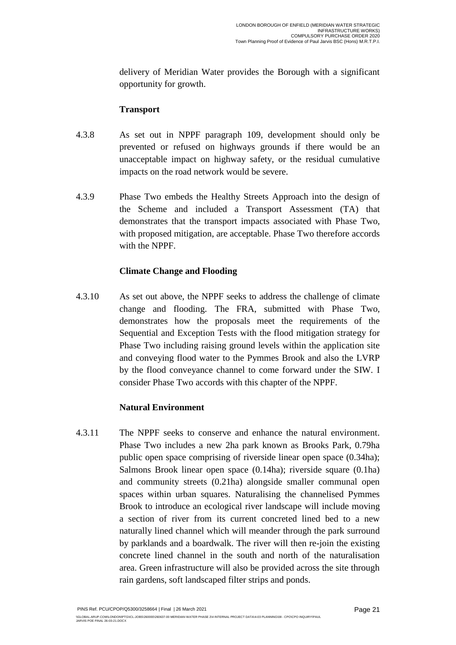delivery of Meridian Water provides the Borough with a significant opportunity for growth.

#### **Transport**

- 4.3.8 As set out in NPPF paragraph 109, development should only be prevented or refused on highways grounds if there would be an unacceptable impact on highway safety, or the residual cumulative impacts on the road network would be severe.
- 4.3.9 Phase Two embeds the Healthy Streets Approach into the design of the Scheme and included a Transport Assessment (TA) that demonstrates that the transport impacts associated with Phase Two, with proposed mitigation, are acceptable. Phase Two therefore accords with the NPPF.

#### **Climate Change and Flooding**

4.3.10 As set out above, the NPPF seeks to address the challenge of climate change and flooding. The FRA, submitted with Phase Two, demonstrates how the proposals meet the requirements of the Sequential and Exception Tests with the flood mitigation strategy for Phase Two including raising ground levels within the application site and conveying flood water to the Pymmes Brook and also the LVRP by the flood conveyance channel to come forward under the SIW. I consider Phase Two accords with this chapter of the NPPF.

#### **Natural Environment**

4.3.11 The NPPF seeks to conserve and enhance the natural environment. Phase Two includes a new 2ha park known as Brooks Park, 0.79ha public open space comprising of riverside linear open space (0.34ha); Salmons Brook linear open space (0.14ha); riverside square (0.1ha) and community streets (0.21ha) alongside smaller communal open spaces within urban squares. Naturalising the channelised Pymmes Brook to introduce an ecological river landscape will include moving a section of river from its current concreted lined bed to a new naturally lined channel which will meander through the park surround by parklands and a boardwalk. The river will then re-join the existing concrete lined channel in the south and north of the naturalisation area. Green infrastructure will also be provided across the site through rain gardens, soft landscaped filter strips and ponds.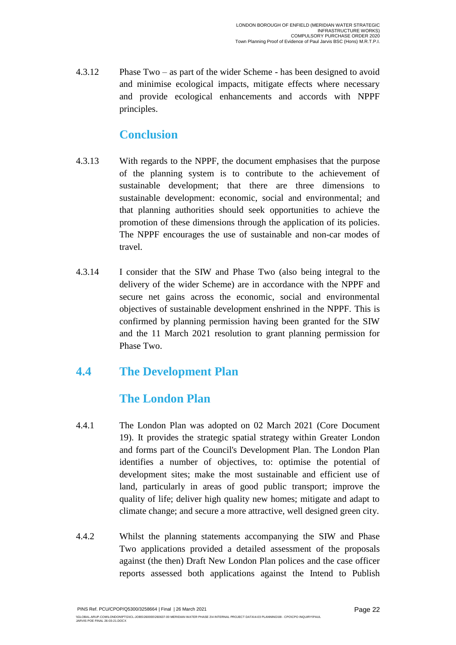4.3.12 Phase Two – as part of the wider Scheme - has been designed to avoid and minimise ecological impacts, mitigate effects where necessary and provide ecological enhancements and accords with NPPF principles.

#### **Conclusion**

- 4.3.13 With regards to the NPPF, the document emphasises that the purpose of the planning system is to contribute to the achievement of sustainable development; that there are three dimensions to sustainable development: economic, social and environmental; and that planning authorities should seek opportunities to achieve the promotion of these dimensions through the application of its policies. The NPPF encourages the use of sustainable and non-car modes of travel.
- 4.3.14 I consider that the SIW and Phase Two (also being integral to the delivery of the wider Scheme) are in accordance with the NPPF and secure net gains across the economic, social and environmental objectives of sustainable development enshrined in the NPPF. This is confirmed by planning permission having been granted for the SIW and the 11 March 2021 resolution to grant planning permission for Phase Two.

#### <span id="page-25-1"></span><span id="page-25-0"></span>**4.4 The Development Plan**

#### **The London Plan**

- 4.4.1 The London Plan was adopted on 02 March 2021 (Core Document 19). It provides the strategic spatial strategy within Greater London and forms part of the Council's Development Plan. The London Plan identifies a number of objectives, to: optimise the potential of development sites; make the most sustainable and efficient use of land, particularly in areas of good public transport; improve the quality of life; deliver high quality new homes; mitigate and adapt to climate change; and secure a more attractive, well designed green city.
- 4.4.2 Whilst the planning statements accompanying the SIW and Phase Two applications provided a detailed assessment of the proposals against (the then) Draft New London Plan polices and the case officer reports assessed both applications against the Intend to Publish

<sup>\\</sup>GLOBAL.ARUP.COM\LONDON\PTG\\CL-JOBS\260000\260637-00 MERIDIAN WATER PHASE 2\4 INTERNAL PROJECT DATA\4-03 PLANNING\08 - CPO\CPO INQUIRY\PAUL<br>JARVIS POE FINAL 26-03-21.DOCX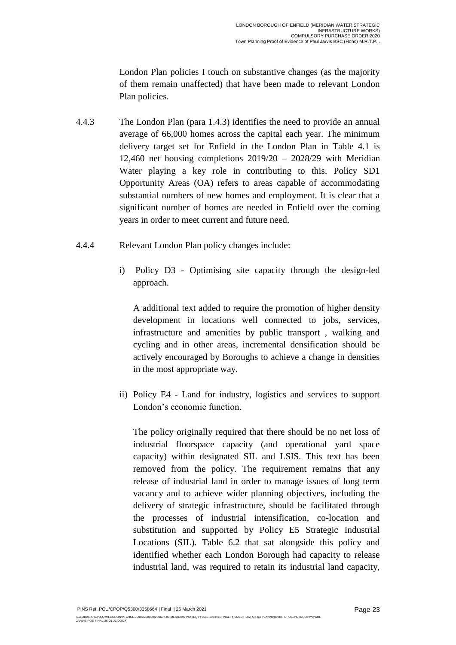London Plan policies I touch on substantive changes (as the majority of them remain unaffected) that have been made to relevant London Plan policies.

- 4.4.3 The London Plan (para 1.4.3) identifies the need to provide an annual average of 66,000 homes across the capital each year. The minimum delivery target set for Enfield in the London Plan in Table 4.1 is 12,460 net housing completions  $2019/20 - 2028/29$  with Meridian Water playing a key role in contributing to this. Policy SD1 Opportunity Areas (OA) refers to areas capable of accommodating substantial numbers of new homes and employment. It is clear that a significant number of homes are needed in Enfield over the coming years in order to meet current and future need.
- 4.4.4 Relevant London Plan policy changes include:
	- i) Policy D3 Optimising site capacity through the design-led approach.

A additional text added to require the promotion of higher density development in locations well connected to jobs, services, infrastructure and amenities by public transport , walking and cycling and in other areas, incremental densification should be actively encouraged by Boroughs to achieve a change in densities in the most appropriate way.

ii) Policy E4 - Land for industry, logistics and services to support London's economic function.

The policy originally required that there should be no net loss of industrial floorspace capacity (and operational yard space capacity) within designated SIL and LSIS. This text has been removed from the policy. The requirement remains that any release of industrial land in order to manage issues of long term vacancy and to achieve wider planning objectives, including the delivery of strategic infrastructure, should be facilitated through the processes of industrial intensification, co-location and substitution and supported by Policy E5 Strategic Industrial Locations (SIL). Table 6.2 that sat alongside this policy and identified whether each London Borough had capacity to release industrial land, was required to retain its industrial land capacity,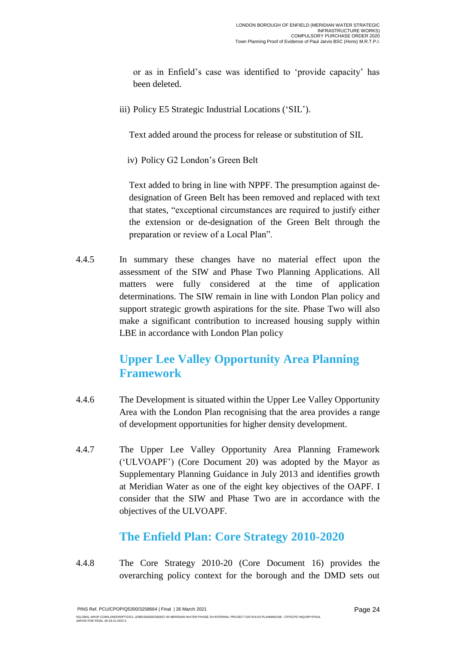or as in Enfield's case was identified to 'provide capacity' has been deleted.

iii) Policy E5 Strategic Industrial Locations ('SIL').

Text added around the process for release or substitution of SIL

iv) Policy G2 London's Green Belt

Text added to bring in line with NPPF. The presumption against dedesignation of Green Belt has been removed and replaced with text that states, "exceptional circumstances are required to justify either the extension or de-designation of the Green Belt through the preparation or review of a Local Plan".

4.4.5 In summary these changes have no material effect upon the assessment of the SIW and Phase Two Planning Applications. All matters were fully considered at the time of application determinations. The SIW remain in line with London Plan policy and support strategic growth aspirations for the site. Phase Two will also make a significant contribution to increased housing supply within LBE in accordance with London Plan policy

### <span id="page-27-0"></span>**Upper Lee Valley Opportunity Area Planning Framework**

- 4.4.6 The Development is situated within the Upper Lee Valley Opportunity Area with the London Plan recognising that the area provides a range of development opportunities for higher density development.
- 4.4.7 The Upper Lee Valley Opportunity Area Planning Framework ('ULVOAPF') (Core Document 20) was adopted by the Mayor as Supplementary Planning Guidance in July 2013 and identifies growth at Meridian Water as one of the eight key objectives of the OAPF. I consider that the SIW and Phase Two are in accordance with the objectives of the ULVOAPF.

#### **The Enfield Plan: Core Strategy 2010-2020**

<span id="page-27-1"></span>4.4.8 The Core Strategy 2010-20 (Core Document 16) provides the overarching policy context for the borough and the DMD sets out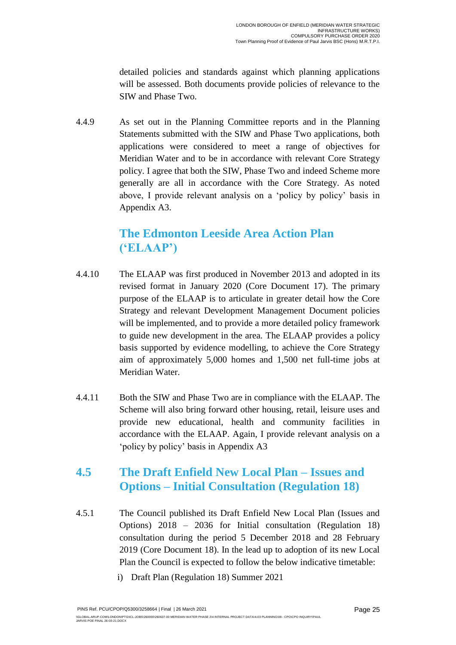detailed policies and standards against which planning applications will be assessed. Both documents provide policies of relevance to the SIW and Phase Two.

4.4.9 As set out in the Planning Committee reports and in the Planning Statements submitted with the SIW and Phase Two applications, both applications were considered to meet a range of objectives for Meridian Water and to be in accordance with relevant Core Strategy policy. I agree that both the SIW, Phase Two and indeed Scheme more generally are all in accordance with the Core Strategy. As noted above, I provide relevant analysis on a 'policy by policy' basis in Appendix A3.

### <span id="page-28-0"></span>**The Edmonton Leeside Area Action Plan ('ELAAP')**

- 4.4.10 The ELAAP was first produced in November 2013 and adopted in its revised format in January 2020 (Core Document 17). The primary purpose of the ELAAP is to articulate in greater detail how the Core Strategy and relevant Development Management Document policies will be implemented, and to provide a more detailed policy framework to guide new development in the area. The ELAAP provides a policy basis supported by evidence modelling, to achieve the Core Strategy aim of approximately 5,000 homes and 1,500 net full-time jobs at Meridian Water.
- 4.4.11 Both the SIW and Phase Two are in compliance with the ELAAP. The Scheme will also bring forward other housing, retail, leisure uses and provide new educational, health and community facilities in accordance with the ELAAP. Again, I provide relevant analysis on a 'policy by policy' basis in Appendix A3

#### <span id="page-28-1"></span>**4.5 The Draft Enfield New Local Plan – Issues and Options – Initial Consultation (Regulation 18)**

- 4.5.1 The Council published its Draft Enfield New Local Plan (Issues and Options) 2018 – 2036 for Initial consultation (Regulation 18) consultation during the period 5 December 2018 and 28 February 2019 (Core Document 18). In the lead up to adoption of its new Local Plan the Council is expected to follow the below indicative timetable:
	- i) Draft Plan (Regulation 18) Summer 2021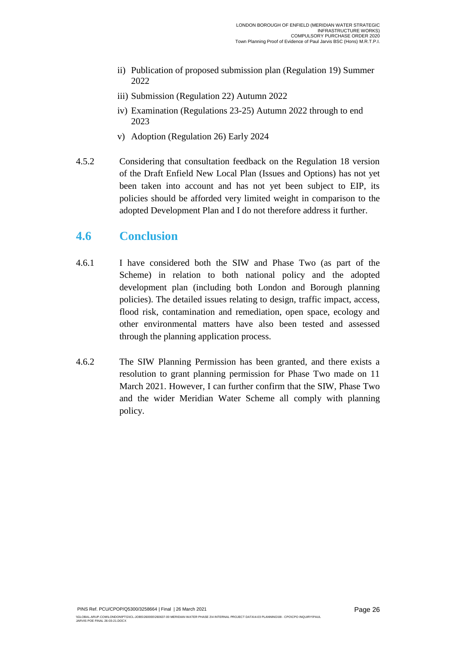- ii) Publication of proposed submission plan (Regulation 19) Summer 2022
- iii) Submission (Regulation 22) Autumn 2022
- iv) Examination (Regulations 23-25) Autumn 2022 through to end 2023
- v) Adoption (Regulation 26) Early 2024
- 4.5.2 Considering that consultation feedback on the Regulation 18 version of the Draft Enfield New Local Plan (Issues and Options) has not yet been taken into account and has not yet been subject to EIP, its policies should be afforded very limited weight in comparison to the adopted Development Plan and I do not therefore address it further.

#### <span id="page-29-0"></span>**4.6 Conclusion**

- 4.6.1 I have considered both the SIW and Phase Two (as part of the Scheme) in relation to both national policy and the adopted development plan (including both London and Borough planning policies). The detailed issues relating to design, traffic impact, access, flood risk, contamination and remediation, open space, ecology and other environmental matters have also been tested and assessed through the planning application process.
- 4.6.2 The SIW Planning Permission has been granted, and there exists a resolution to grant planning permission for Phase Two made on 11 March 2021. However, I can further confirm that the SIW, Phase Two and the wider Meridian Water Scheme all comply with planning policy.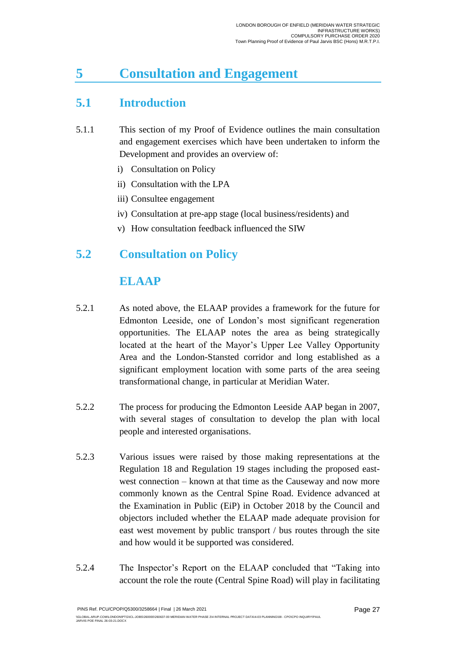# <span id="page-30-0"></span>**5 Consultation and Engagement**

# <span id="page-30-1"></span>**5.1 Introduction**

- 5.1.1 This section of my Proof of Evidence outlines the main consultation and engagement exercises which have been undertaken to inform the Development and provides an overview of:
	- i) Consultation on Policy
	- ii) Consultation with the LPA
	- iii) Consultee engagement
	- iv) Consultation at pre-app stage (local business/residents) and
	- v) How consultation feedback influenced the SIW

### <span id="page-30-2"></span>**5.2 Consultation on Policy**

### **ELAAP**

- 5.2.1 As noted above, the ELAAP provides a framework for the future for Edmonton Leeside, one of London's most significant regeneration opportunities. The ELAAP notes the area as being strategically located at the heart of the Mayor's Upper Lee Valley Opportunity Area and the London-Stansted corridor and long established as a significant employment location with some parts of the area seeing transformational change, in particular at Meridian Water.
- 5.2.2 The process for producing the Edmonton Leeside AAP began in 2007, with several stages of consultation to develop the plan with local people and interested organisations.
- 5.2.3 Various issues were raised by those making representations at the Regulation 18 and Regulation 19 stages including the proposed eastwest connection – known at that time as the Causeway and now more commonly known as the Central Spine Road. Evidence advanced at the Examination in Public (EiP) in October 2018 by the Council and objectors included whether the ELAAP made adequate provision for east west movement by public transport / bus routes through the site and how would it be supported was considered.
- 5.2.4 The Inspector's Report on the ELAAP concluded that "Taking into account the role the route (Central Spine Road) will play in facilitating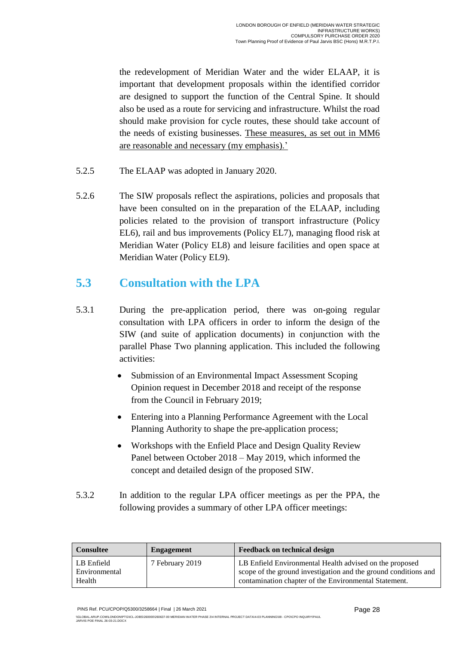the redevelopment of Meridian Water and the wider ELAAP, it is important that development proposals within the identified corridor are designed to support the function of the Central Spine. It should also be used as a route for servicing and infrastructure. Whilst the road should make provision for cycle routes, these should take account of the needs of existing businesses. These measures, as set out in MM6 are reasonable and necessary (my emphasis).'

- 5.2.5 The ELAAP was adopted in January 2020.
- 5.2.6 The SIW proposals reflect the aspirations, policies and proposals that have been consulted on in the preparation of the ELAAP, including policies related to the provision of transport infrastructure (Policy EL6), rail and bus improvements (Policy EL7), managing flood risk at Meridian Water (Policy EL8) and leisure facilities and open space at Meridian Water (Policy EL9).

#### <span id="page-31-0"></span>**5.3 Consultation with the LPA**

- 5.3.1 During the pre-application period, there was on-going regular consultation with LPA officers in order to inform the design of the SIW (and suite of application documents) in conjunction with the parallel Phase Two planning application. This included the following activities:
	- Submission of an Environmental Impact Assessment Scoping Opinion request in December 2018 and receipt of the response from the Council in February 2019;
	- Entering into a Planning Performance Agreement with the Local Planning Authority to shape the pre-application process;
	- Workshops with the Enfield Place and Design Quality Review Panel between October 2018 – May 2019, which informed the concept and detailed design of the proposed SIW.
- 5.3.2 In addition to the regular LPA officer meetings as per the PPA, the following provides a summary of other LPA officer meetings:

| <b>Consultee</b>                      | <b>Engagement</b> | <b>Feedback on technical design</b>                                                                                                                                                 |
|---------------------------------------|-------------------|-------------------------------------------------------------------------------------------------------------------------------------------------------------------------------------|
| LB Enfield<br>Environmental<br>Health | 7 February 2019   | LB Enfield Environmental Health advised on the proposed<br>scope of the ground investigation and the ground conditions and<br>contamination chapter of the Environmental Statement. |

PINS Ref. PCU/CPOP/Q5300/3258664 | Final | 26 March 2021

\\GLOBAL.ARUP.COM\LONDON\PTG\\CL-JOBS\260000\260637-00 MERIDIAN WATER PHASE 2\4 INTERNAL PROJECT DATA\4-03 PLANNING\08 - CPO\CPO INQUIRY\PAUL<br>JARVIS POE FINAL 26-03-21.DOCX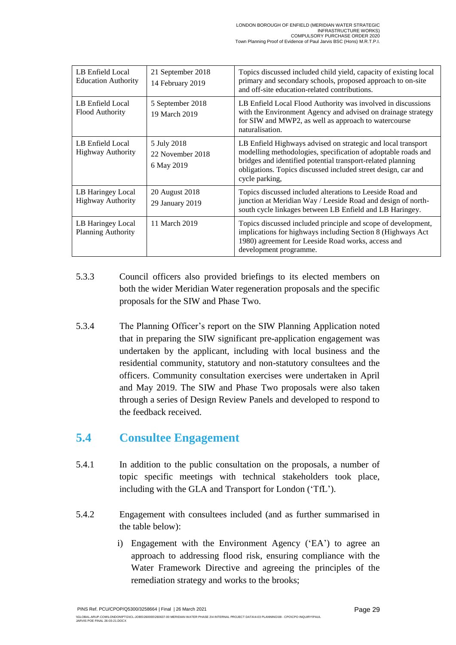| LB Enfield Local<br><b>Education Authority</b> | 21 September 2018<br>14 February 2019         | Topics discussed included child yield, capacity of existing local<br>primary and secondary schools, proposed approach to on-site<br>and off-site education-related contributions.                                                                                               |
|------------------------------------------------|-----------------------------------------------|---------------------------------------------------------------------------------------------------------------------------------------------------------------------------------------------------------------------------------------------------------------------------------|
| LB Enfield Local<br><b>Flood Authority</b>     | 5 September 2018<br>19 March 2019             | LB Enfield Local Flood Authority was involved in discussions<br>with the Environment Agency and advised on drainage strategy<br>for SIW and MWP2, as well as approach to watercourse<br>naturalisation.                                                                         |
| LB Enfield Local<br><b>Highway Authority</b>   | 5 July 2018<br>22 November 2018<br>6 May 2019 | LB Enfield Highways advised on strategic and local transport<br>modelling methodologies, specification of adoptable roads and<br>bridges and identified potential transport-related planning<br>obligations. Topics discussed included street design, car and<br>cycle parking, |
| LB Haringey Local<br><b>Highway Authority</b>  | 20 August 2018<br>29 January 2019             | Topics discussed included alterations to Leeside Road and<br>junction at Meridian Way / Leeside Road and design of north-<br>south cycle linkages between LB Enfield and LB Haringey.                                                                                           |
| LB Haringey Local<br><b>Planning Authority</b> | 11 March 2019                                 | Topics discussed included principle and scope of development,<br>implications for highways including Section 8 (Highways Act<br>1980) agreement for Leeside Road works, access and<br>development programme.                                                                    |

- 5.3.3 Council officers also provided briefings to its elected members on both the wider Meridian Water regeneration proposals and the specific proposals for the SIW and Phase Two.
- 5.3.4 The Planning Officer's report on the SIW Planning Application noted that in preparing the SIW significant pre-application engagement was undertaken by the applicant, including with local business and the residential community, statutory and non-statutory consultees and the officers. Community consultation exercises were undertaken in April and May 2019. The SIW and Phase Two proposals were also taken through a series of Design Review Panels and developed to respond to the feedback received.

#### <span id="page-32-0"></span>**5.4 Consultee Engagement**

- 5.4.1 In addition to the public consultation on the proposals, a number of topic specific meetings with technical stakeholders took place, including with the GLA and Transport for London ('TfL').
- 5.4.2 Engagement with consultees included (and as further summarised in the table below):
	- i) Engagement with the Environment Agency ('EA') to agree an approach to addressing flood risk, ensuring compliance with the Water Framework Directive and agreeing the principles of the remediation strategy and works to the brooks;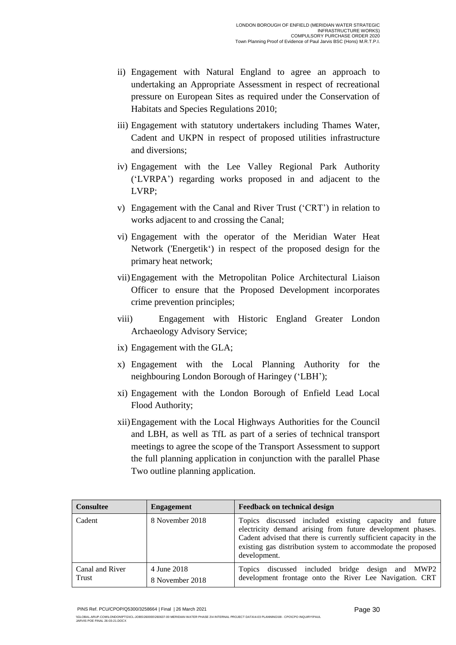- ii) Engagement with Natural England to agree an approach to undertaking an Appropriate Assessment in respect of recreational pressure on European Sites as required under the Conservation of Habitats and Species Regulations 2010;
- iii) Engagement with statutory undertakers including Thames Water, Cadent and UKPN in respect of proposed utilities infrastructure and diversions;
- iv) Engagement with the Lee Valley Regional Park Authority ('LVRPA') regarding works proposed in and adjacent to the LVRP;
- v) Engagement with the Canal and River Trust ('CRT') in relation to works adjacent to and crossing the Canal;
- vi) Engagement with the operator of the Meridian Water Heat Network ('Energetik') in respect of the proposed design for the primary heat network;
- vii)Engagement with the Metropolitan Police Architectural Liaison Officer to ensure that the Proposed Development incorporates crime prevention principles;
- viii) Engagement with Historic England Greater London Archaeology Advisory Service;
- ix) Engagement with the GLA;
- x) Engagement with the Local Planning Authority for the neighbouring London Borough of Haringey ('LBH');
- xi) Engagement with the London Borough of Enfield Lead Local Flood Authority;
- xii)Engagement with the Local Highways Authorities for the Council and LBH, as well as TfL as part of a series of technical transport meetings to agree the scope of the Transport Assessment to support the full planning application in conjunction with the parallel Phase Two outline planning application.

| <b>Consultee</b>         | <b>Engagement</b>              | <b>Feedback on technical design</b>                                                                                                                                                                                                                                       |
|--------------------------|--------------------------------|---------------------------------------------------------------------------------------------------------------------------------------------------------------------------------------------------------------------------------------------------------------------------|
| Cadent                   | 8 November 2018                | Topics discussed included existing capacity and future<br>electricity demand arising from future development phases.<br>Cadent advised that there is currently sufficient capacity in the<br>existing gas distribution system to accommodate the proposed<br>development. |
| Canal and River<br>Trust | 4 June 2018<br>8 November 2018 | discussed included bridge design and MWP2<br>Topics<br>development frontage onto the River Lee Navigation. CRT                                                                                                                                                            |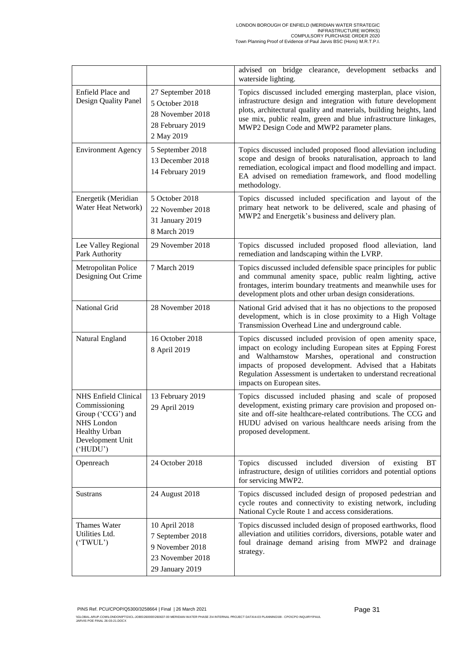|                                                                                                                                         |                                                                                             | advised on bridge clearance, development setbacks and<br>waterside lighting.                                                                                                                                                                                                                                                                   |
|-----------------------------------------------------------------------------------------------------------------------------------------|---------------------------------------------------------------------------------------------|------------------------------------------------------------------------------------------------------------------------------------------------------------------------------------------------------------------------------------------------------------------------------------------------------------------------------------------------|
| Enfield Place and<br>Design Quality Panel                                                                                               | 27 September 2018<br>5 October 2018<br>28 November 2018<br>28 February 2019<br>2 May 2019   | Topics discussed included emerging masterplan, place vision,<br>infrastructure design and integration with future development<br>plots, architectural quality and materials, building heights, land<br>use mix, public realm, green and blue infrastructure linkages,<br>MWP2 Design Code and MWP2 parameter plans.                            |
| <b>Environment Agency</b>                                                                                                               | 5 September 2018<br>13 December 2018<br>14 February 2019                                    | Topics discussed included proposed flood alleviation including<br>scope and design of brooks naturalisation, approach to land<br>remediation, ecological impact and flood modelling and impact.<br>EA advised on remediation framework, and flood modelling<br>methodology.                                                                    |
| Energetik (Meridian<br>Water Heat Network)                                                                                              | 5 October 2018<br>22 November 2018<br>31 January 2019<br>8 March 2019                       | Topics discussed included specification and layout of the<br>primary heat network to be delivered, scale and phasing of<br>MWP2 and Energetik's business and delivery plan.                                                                                                                                                                    |
| Lee Valley Regional<br>Park Authority                                                                                                   | 29 November 2018                                                                            | Topics discussed included proposed flood alleviation, land<br>remediation and landscaping within the LVRP.                                                                                                                                                                                                                                     |
| Metropolitan Police<br>Designing Out Crime                                                                                              | 7 March 2019                                                                                | Topics discussed included defensible space principles for public<br>and communal amenity space, public realm lighting, active<br>frontages, interim boundary treatments and meanwhile uses for<br>development plots and other urban design considerations.                                                                                     |
| National Grid                                                                                                                           | 28 November 2018                                                                            | National Grid advised that it has no objections to the proposed<br>development, which is in close proximity to a High Voltage<br>Transmission Overhead Line and underground cable.                                                                                                                                                             |
| Natural England                                                                                                                         | 16 October 2018<br>8 April 2019                                                             | Topics discussed included provision of open amenity space,<br>impact on ecology including European sites at Epping Forest<br>and Walthamstow Marshes, operational and construction<br>impacts of proposed development. Advised that a Habitats<br>Regulation Assessment is undertaken to understand recreational<br>impacts on European sites. |
| NHS Enfield Clinical<br>Commissioning<br>Group ('CCG') and<br><b>NHS</b> London<br><b>Healthy Urban</b><br>Development Unit<br>('HUDU') | 13 February 2019<br>29 April 2019                                                           | Topics discussed included phasing and scale of proposed<br>development, existing primary care provision and proposed on-<br>site and off-site healthcare-related contributions. The CCG and<br>HUDU advised on various healthcare needs arising from the<br>proposed development.                                                              |
| Openreach                                                                                                                               | 24 October 2018                                                                             | discussed<br>included<br>diversion<br>Topics<br>of existing<br><b>BT</b><br>infrastructure, design of utilities corridors and potential options<br>for servicing MWP2.                                                                                                                                                                         |
| <b>Sustrans</b>                                                                                                                         | 24 August 2018                                                                              | Topics discussed included design of proposed pedestrian and<br>cycle routes and connectivity to existing network, including<br>National Cycle Route 1 and access considerations.                                                                                                                                                               |
| Thames Water<br>Utilities Ltd.<br>(TWUL)                                                                                                | 10 April 2018<br>7 September 2018<br>9 November 2018<br>23 November 2018<br>29 January 2019 | Topics discussed included design of proposed earthworks, flood<br>alleviation and utilities corridors, diversions, potable water and<br>foul drainage demand arising from MWP2 and drainage<br>strategy.                                                                                                                                       |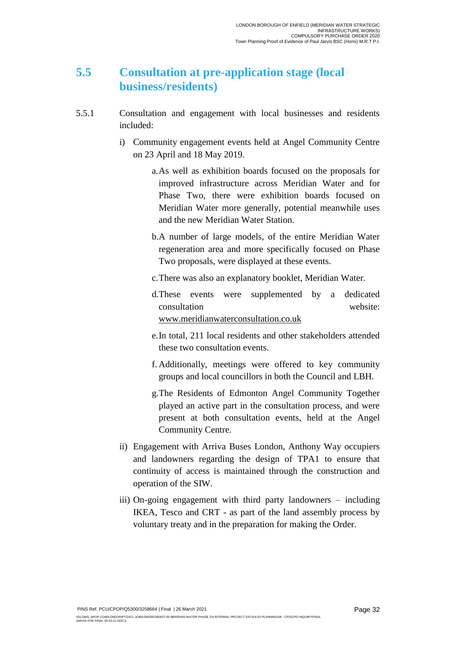#### <span id="page-35-0"></span>**5.5 Consultation at pre-application stage (local business/residents)**

- 5.5.1 Consultation and engagement with local businesses and residents included:
	- i) Community engagement events held at Angel Community Centre on 23 April and 18 May 2019.
		- a.As well as exhibition boards focused on the proposals for improved infrastructure across Meridian Water and for Phase Two, there were exhibition boards focused on Meridian Water more generally, potential meanwhile uses and the new Meridian Water Station.
		- b.A number of large models, of the entire Meridian Water regeneration area and more specifically focused on Phase Two proposals, were displayed at these events.
		- c.There was also an explanatory booklet, Meridian Water.
		- d.These events were supplemented by a dedicated consultation website: [www.meridianwaterconsultation.co.uk](http://www.meridianwaterconsultation.co.uk/)
		- e.In total, 211 local residents and other stakeholders attended these two consultation events.
		- f. Additionally, meetings were offered to key community groups and local councillors in both the Council and LBH.
		- g.The Residents of Edmonton Angel Community Together played an active part in the consultation process, and were present at both consultation events, held at the Angel Community Centre.
	- ii) Engagement with Arriva Buses London, Anthony Way occupiers and landowners regarding the design of TPA1 to ensure that continuity of access is maintained through the construction and operation of the SIW.
	- iii) On-going engagement with third party landowners including IKEA, Tesco and CRT - as part of the land assembly process by voluntary treaty and in the preparation for making the Order.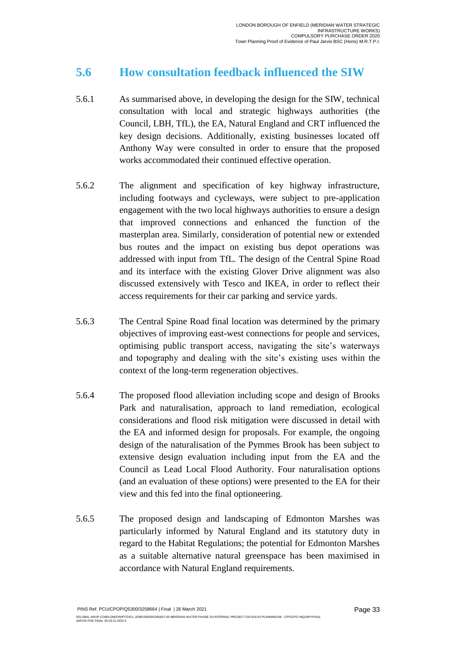#### <span id="page-36-0"></span>**5.6 How consultation feedback influenced the SIW**

- 5.6.1 As summarised above, in developing the design for the SIW, technical consultation with local and strategic highways authorities (the Council, LBH, TfL), the EA, Natural England and CRT influenced the key design decisions. Additionally, existing businesses located off Anthony Way were consulted in order to ensure that the proposed works accommodated their continued effective operation.
- 5.6.2 The alignment and specification of key highway infrastructure, including footways and cycleways, were subject to pre-application engagement with the two local highways authorities to ensure a design that improved connections and enhanced the function of the masterplan area. Similarly, consideration of potential new or extended bus routes and the impact on existing bus depot operations was addressed with input from TfL. The design of the Central Spine Road and its interface with the existing Glover Drive alignment was also discussed extensively with Tesco and IKEA, in order to reflect their access requirements for their car parking and service yards.
- 5.6.3 The Central Spine Road final location was determined by the primary objectives of improving east-west connections for people and services, optimising public transport access, navigating the site's waterways and topography and dealing with the site's existing uses within the context of the long-term regeneration objectives.
- 5.6.4 The proposed flood alleviation including scope and design of Brooks Park and naturalisation, approach to land remediation, ecological considerations and flood risk mitigation were discussed in detail with the EA and informed design for proposals. For example, the ongoing design of the naturalisation of the Pymmes Brook has been subject to extensive design evaluation including input from the EA and the Council as Lead Local Flood Authority. Four naturalisation options (and an evaluation of these options) were presented to the EA for their view and this fed into the final optioneering.
- 5.6.5 The proposed design and landscaping of Edmonton Marshes was particularly informed by Natural England and its statutory duty in regard to the Habitat Regulations; the potential for Edmonton Marshes as a suitable alternative natural greenspace has been maximised in accordance with Natural England requirements.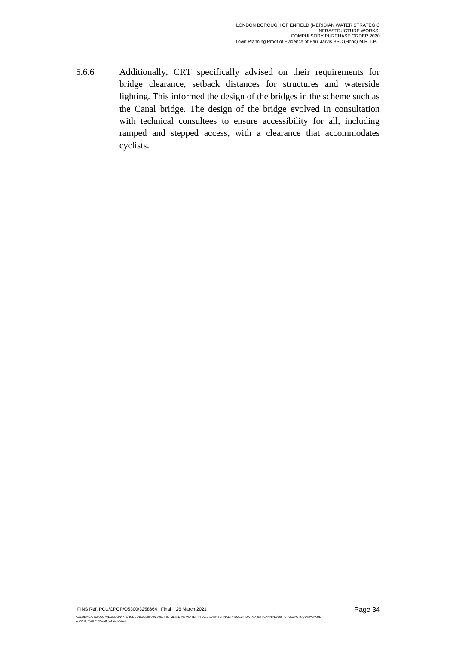5.6.6 Additionally, CRT specifically advised on their requirements for bridge clearance, setback distances for structures and waterside lighting. This informed the design of the bridges in the scheme such as the Canal bridge. The design of the bridge evolved in consultation with technical consultees to ensure accessibility for all, including ramped and stepped access, with a clearance that accommodates cyclists.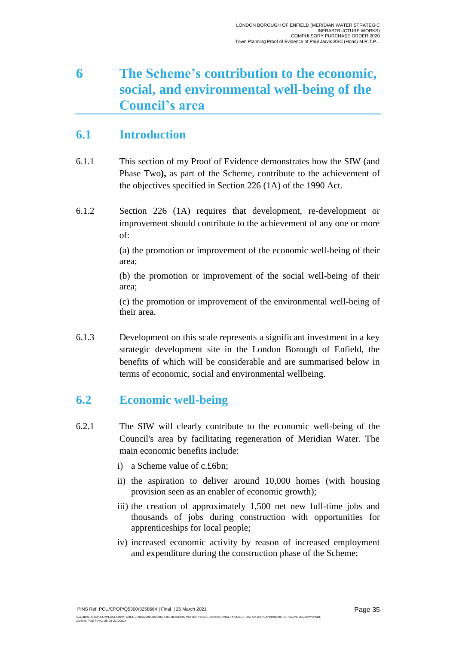# <span id="page-38-0"></span>**6 The Scheme's contribution to the economic, social, and environmental well-being of the Council's area**

#### <span id="page-38-1"></span>**6.1 Introduction**

- 6.1.1 This section of my Proof of Evidence demonstrates how the SIW (and Phase Two**),** as part of the Scheme, contribute to the achievement of the objectives specified in Section 226 (1A) of the 1990 Act.
- 6.1.2 Section 226 (1A) requires that development, re-development or improvement should contribute to the achievement of any one or more of:

(a) the promotion or improvement of the economic well-being of their area;

(b) the promotion or improvement of the social well-being of their area;

(c) the promotion or improvement of the environmental well-being of their area.

6.1.3 Development on this scale represents a significant investment in a key strategic development site in the London Borough of Enfield, the benefits of which will be considerable and are summarised below in terms of economic, social and environmental wellbeing.

#### <span id="page-38-2"></span>**6.2 Economic well-being**

- 6.2.1 The SIW will clearly contribute to the economic well-being of the Council's area by facilitating regeneration of Meridian Water. The main economic benefits include:
	- i) a Scheme value of c.£6bn;
	- ii) the aspiration to deliver around 10,000 homes (with housing provision seen as an enabler of economic growth);
	- iii) the creation of approximately 1,500 net new full-time jobs and thousands of jobs during construction with opportunities for apprenticeships for local people;
	- iv) increased economic activity by reason of increased employment and expenditure during the construction phase of the Scheme;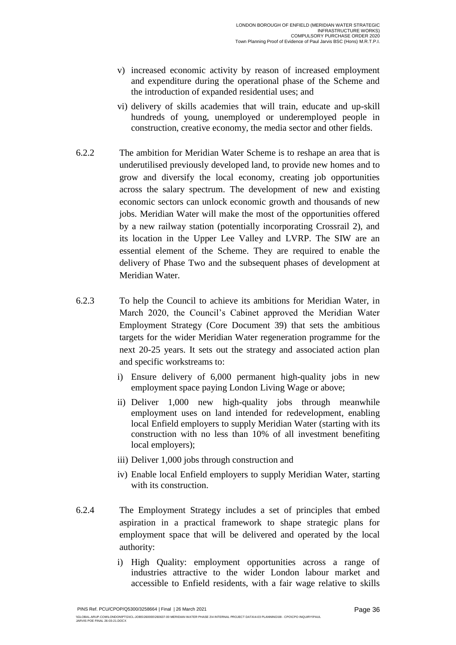- v) increased economic activity by reason of increased employment and expenditure during the operational phase of the Scheme and the introduction of expanded residential uses; and
- vi) delivery of skills academies that will train, educate and up-skill hundreds of young, unemployed or underemployed people in construction, creative economy, the media sector and other fields.
- 6.2.2 The ambition for Meridian Water Scheme is to reshape an area that is underutilised previously developed land, to provide new homes and to grow and diversify the local economy, creating job opportunities across the salary spectrum. The development of new and existing economic sectors can unlock economic growth and thousands of new jobs. Meridian Water will make the most of the opportunities offered by a new railway station (potentially incorporating Crossrail 2), and its location in the Upper Lee Valley and LVRP. The SIW are an essential element of the Scheme. They are required to enable the delivery of Phase Two and the subsequent phases of development at Meridian Water.
- 6.2.3 To help the Council to achieve its ambitions for Meridian Water, in March 2020, the Council's Cabinet approved the Meridian Water Employment Strategy (Core Document 39) that sets the ambitious targets for the wider Meridian Water regeneration programme for the next 20-25 years. It sets out the strategy and associated action plan and specific workstreams to:
	- i) Ensure delivery of 6,000 permanent high-quality jobs in new employment space paying London Living Wage or above;
	- ii) Deliver 1,000 new high-quality jobs through meanwhile employment uses on land intended for redevelopment, enabling local Enfield employers to supply Meridian Water (starting with its construction with no less than 10% of all investment benefiting local employers);
	- iii) Deliver 1,000 jobs through construction and
	- iv) Enable local Enfield employers to supply Meridian Water, starting with its construction.
- 6.2.4 The Employment Strategy includes a set of principles that embed aspiration in a practical framework to shape strategic plans for employment space that will be delivered and operated by the local authority:
	- i) High Quality: employment opportunities across a range of industries attractive to the wider London labour market and accessible to Enfield residents, with a fair wage relative to skills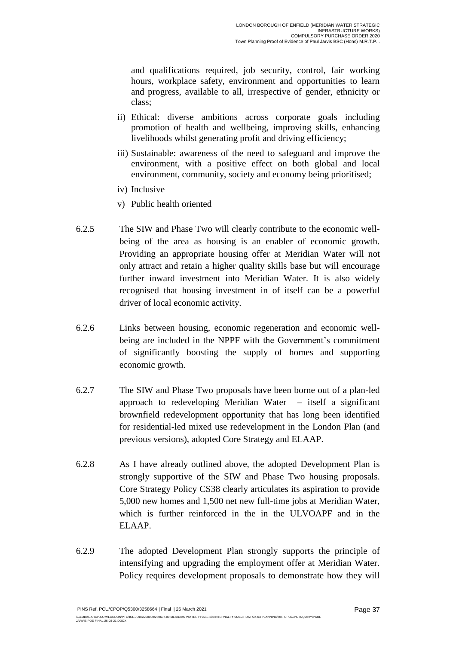and qualifications required, job security, control, fair working hours, workplace safety, environment and opportunities to learn and progress, available to all, irrespective of gender, ethnicity or class;

- ii) Ethical: diverse ambitions across corporate goals including promotion of health and wellbeing, improving skills, enhancing livelihoods whilst generating profit and driving efficiency;
- iii) Sustainable: awareness of the need to safeguard and improve the environment, with a positive effect on both global and local environment, community, society and economy being prioritised;
- iv) Inclusive
- v) Public health oriented
- 6.2.5 The SIW and Phase Two will clearly contribute to the economic wellbeing of the area as housing is an enabler of economic growth. Providing an appropriate housing offer at Meridian Water will not only attract and retain a higher quality skills base but will encourage further inward investment into Meridian Water. It is also widely recognised that housing investment in of itself can be a powerful driver of local economic activity.
- 6.2.6 Links between housing, economic regeneration and economic wellbeing are included in the NPPF with the Government's commitment of significantly boosting the supply of homes and supporting economic growth.
- 6.2.7 The SIW and Phase Two proposals have been borne out of a plan-led approach to redeveloping Meridian Water – itself a significant brownfield redevelopment opportunity that has long been identified for residential-led mixed use redevelopment in the London Plan (and previous versions), adopted Core Strategy and ELAAP.
- 6.2.8 As I have already outlined above, the adopted Development Plan is strongly supportive of the SIW and Phase Two housing proposals. Core Strategy Policy CS38 clearly articulates its aspiration to provide 5,000 new homes and 1,500 net new full-time jobs at Meridian Water, which is further reinforced in the in the ULVOAPF and in the ELAAP.
- 6.2.9 The adopted Development Plan strongly supports the principle of intensifying and upgrading the employment offer at Meridian Water. Policy requires development proposals to demonstrate how they will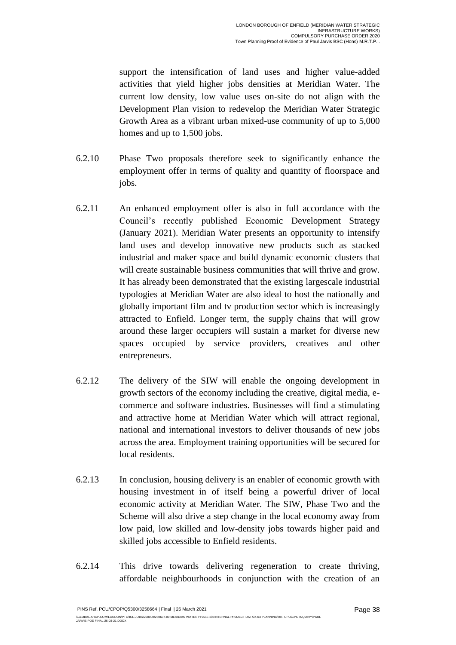support the intensification of land uses and higher value-added activities that yield higher jobs densities at Meridian Water. The current low density, low value uses on-site do not align with the Development Plan vision to redevelop the Meridian Water Strategic Growth Area as a vibrant urban mixed-use community of up to 5,000 homes and up to 1,500 jobs.

- 6.2.10 Phase Two proposals therefore seek to significantly enhance the employment offer in terms of quality and quantity of floorspace and jobs.
- 6.2.11 An enhanced employment offer is also in full accordance with the Council's recently published Economic Development Strategy (January 2021). Meridian Water presents an opportunity to intensify land uses and develop innovative new products such as stacked industrial and maker space and build dynamic economic clusters that will create sustainable business communities that will thrive and grow. It has already been demonstrated that the existing largescale industrial typologies at Meridian Water are also ideal to host the nationally and globally important film and tv production sector which is increasingly attracted to Enfield. Longer term, the supply chains that will grow around these larger occupiers will sustain a market for diverse new spaces occupied by service providers, creatives and other entrepreneurs.
- 6.2.12 The delivery of the SIW will enable the ongoing development in growth sectors of the economy including the creative, digital media, ecommerce and software industries. Businesses will find a stimulating and attractive home at Meridian Water which will attract regional, national and international investors to deliver thousands of new jobs across the area. Employment training opportunities will be secured for local residents.
- 6.2.13 In conclusion, housing delivery is an enabler of economic growth with housing investment in of itself being a powerful driver of local economic activity at Meridian Water. The SIW, Phase Two and the Scheme will also drive a step change in the local economy away from low paid, low skilled and low-density jobs towards higher paid and skilled jobs accessible to Enfield residents.
- 6.2.14 This drive towards delivering regeneration to create thriving, affordable neighbourhoods in conjunction with the creation of an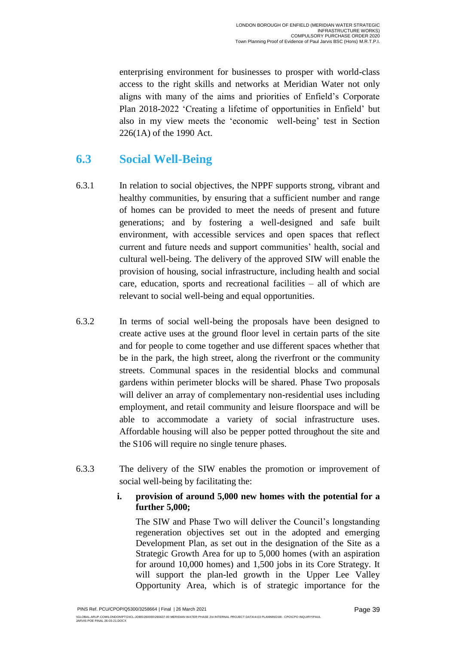enterprising environment for businesses to prosper with world-class access to the right skills and networks at Meridian Water not only aligns with many of the aims and priorities of Enfield's Corporate Plan 2018-2022 'Creating a lifetime of opportunities in Enfield' but also in my view meets the 'economic well-being' test in Section 226(1A) of the 1990 Act.

#### <span id="page-42-0"></span>**6.3 Social Well-Being**

- 6.3.1 In relation to social objectives, the NPPF supports strong, vibrant and healthy communities, by ensuring that a sufficient number and range of homes can be provided to meet the needs of present and future generations; and by fostering a well-designed and safe built environment, with accessible services and open spaces that reflect current and future needs and support communities' health, social and cultural well-being. The delivery of the approved SIW will enable the provision of housing, social infrastructure, including health and social care, education, sports and recreational facilities – all of which are relevant to social well-being and equal opportunities.
- 6.3.2 In terms of social well-being the proposals have been designed to create active uses at the ground floor level in certain parts of the site and for people to come together and use different spaces whether that be in the park, the high street, along the riverfront or the community streets. Communal spaces in the residential blocks and communal gardens within perimeter blocks will be shared. Phase Two proposals will deliver an array of complementary non-residential uses including employment, and retail community and leisure floorspace and will be able to accommodate a variety of social infrastructure uses. Affordable housing will also be pepper potted throughout the site and the S106 will require no single tenure phases.
- 6.3.3 The delivery of the SIW enables the promotion or improvement of social well-being by facilitating the:

#### **i. provision of around 5,000 new homes with the potential for a further 5,000;**

The SIW and Phase Two will deliver the Council's longstanding regeneration objectives set out in the adopted and emerging Development Plan, as set out in the designation of the Site as a Strategic Growth Area for up to 5,000 homes (with an aspiration for around 10,000 homes) and 1,500 jobs in its Core Strategy. It will support the plan-led growth in the Upper Lee Valley Opportunity Area, which is of strategic importance for the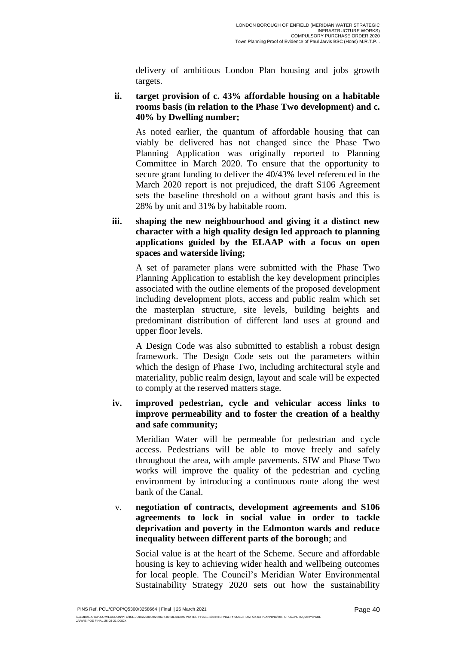delivery of ambitious London Plan housing and jobs growth targets.

#### **ii. target provision of c. 43% affordable housing on a habitable rooms basis (in relation to the Phase Two development) and c. 40% by Dwelling number;**

As noted earlier, the quantum of affordable housing that can viably be delivered has not changed since the Phase Two Planning Application was originally reported to Planning Committee in March 2020. To ensure that the opportunity to secure grant funding to deliver the 40/43% level referenced in the March 2020 report is not prejudiced, the draft S106 Agreement sets the baseline threshold on a without grant basis and this is 28% by unit and 31% by habitable room.

#### **iii. shaping the new neighbourhood and giving it a distinct new character with a high quality design led approach to planning applications guided by the ELAAP with a focus on open spaces and waterside living;**

A set of parameter plans were submitted with the Phase Two Planning Application to establish the key development principles associated with the outline elements of the proposed development including development plots, access and public realm which set the masterplan structure, site levels, building heights and predominant distribution of different land uses at ground and upper floor levels.

A Design Code was also submitted to establish a robust design framework. The Design Code sets out the parameters within which the design of Phase Two, including architectural style and materiality, public realm design, layout and scale will be expected to comply at the reserved matters stage.

#### **iv. improved pedestrian, cycle and vehicular access links to improve permeability and to foster the creation of a healthy and safe community;**

Meridian Water will be permeable for pedestrian and cycle access. Pedestrians will be able to move freely and safely throughout the area, with ample pavements. SIW and Phase Two works will improve the quality of the pedestrian and cycling environment by introducing a continuous route along the west bank of the Canal.

#### v. **negotiation of contracts, development agreements and S106 agreements to lock in social value in order to tackle deprivation and poverty in the Edmonton wards and reduce inequality between different parts of the borough**; and

Social value is at the heart of the Scheme. Secure and affordable housing is key to achieving wider health and wellbeing outcomes for local people. The Council's Meridian Water Environmental Sustainability Strategy 2020 sets out how the sustainability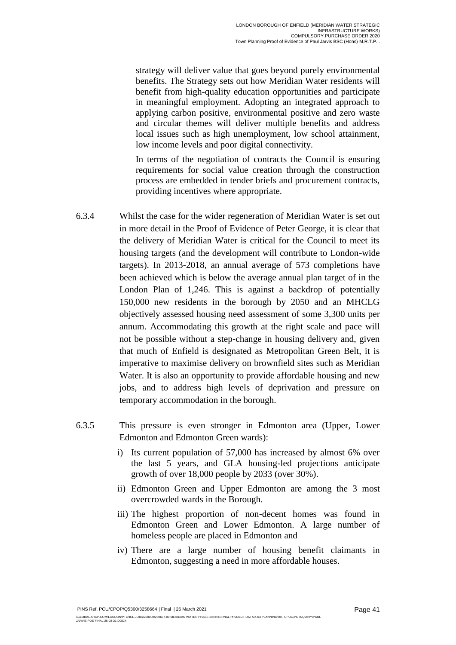strategy will deliver value that goes beyond purely environmental benefits. The Strategy sets out how Meridian Water residents will benefit from high-quality education opportunities and participate in meaningful employment. Adopting an integrated approach to applying carbon positive, environmental positive and zero waste and circular themes will deliver multiple benefits and address local issues such as high unemployment, low school attainment, low income levels and poor digital connectivity.

In terms of the negotiation of contracts the Council is ensuring requirements for social value creation through the construction process are embedded in tender briefs and procurement contracts, providing incentives where appropriate.

- 6.3.4 Whilst the case for the wider regeneration of Meridian Water is set out in more detail in the Proof of Evidence of Peter George, it is clear that the delivery of Meridian Water is critical for the Council to meet its housing targets (and the development will contribute to London-wide targets). In 2013-2018, an annual average of 573 completions have been achieved which is below the average annual plan target of in the London Plan of 1,246. This is against a backdrop of potentially 150,000 new residents in the borough by 2050 and an MHCLG objectively assessed housing need assessment of some 3,300 units per annum. Accommodating this growth at the right scale and pace will not be possible without a step-change in housing delivery and, given that much of Enfield is designated as Metropolitan Green Belt, it is imperative to maximise delivery on brownfield sites such as Meridian Water. It is also an opportunity to provide affordable housing and new jobs, and to address high levels of deprivation and pressure on temporary accommodation in the borough.
- 6.3.5 This pressure is even stronger in Edmonton area (Upper, Lower Edmonton and Edmonton Green wards):
	- i) Its current population of 57,000 has increased by almost 6% over the last 5 years, and GLA housing-led projections anticipate growth of over 18,000 people by 2033 (over 30%).
	- ii) Edmonton Green and Upper Edmonton are among the 3 most overcrowded wards in the Borough.
	- iii) The highest proportion of non-decent homes was found in Edmonton Green and Lower Edmonton. A large number of homeless people are placed in Edmonton and
	- iv) There are a large number of housing benefit claimants in Edmonton, suggesting a need in more affordable houses.

PINS Ref. PCU/CPOP/Q5300/3258664 | Final | 26 March 2021 \\GLOBAL.ARUP.COM\LONDON\PTG\\CL-JOBS\260000\260637-00 MERIDIAN WATER PHASE 2\4 INTERNAL PROJECT DATA\4-03 PLANNING\08 - CPO\CPO INQUIRY\PAUL<br>JARVIS POE FINAL 26-03-21.DOCX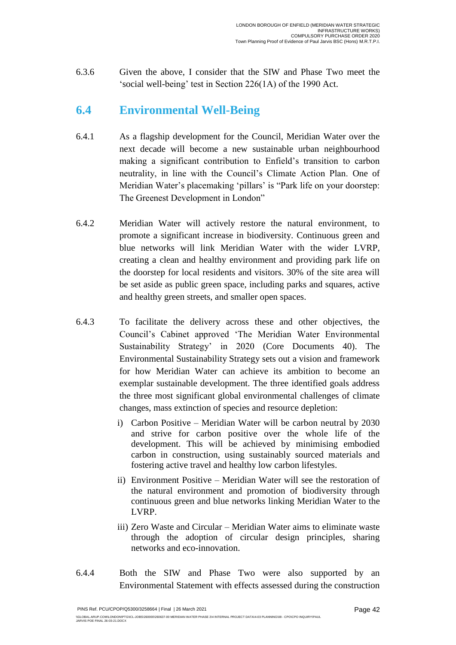6.3.6 Given the above, I consider that the SIW and Phase Two meet the 'social well-being' test in Section 226(1A) of the 1990 Act.

#### <span id="page-45-0"></span>**6.4 Environmental Well-Being**

- 6.4.1 As a flagship development for the Council, Meridian Water over the next decade will become a new sustainable urban neighbourhood making a significant contribution to Enfield's transition to carbon neutrality, in line with the Council's Climate Action Plan. One of Meridian Water's placemaking 'pillars' is "Park life on your doorstep: The Greenest Development in London"
- 6.4.2 Meridian Water will actively restore the natural environment, to promote a significant increase in biodiversity. Continuous green and blue networks will link Meridian Water with the wider LVRP, creating a clean and healthy environment and providing park life on the doorstep for local residents and visitors. 30% of the site area will be set aside as public green space, including parks and squares, active and healthy green streets, and smaller open spaces.
- 6.4.3 To facilitate the delivery across these and other objectives, the Council's Cabinet approved 'The Meridian Water Environmental Sustainability Strategy' in 2020 (Core Documents 40). The Environmental Sustainability Strategy sets out a vision and framework for how Meridian Water can achieve its ambition to become an exemplar sustainable development. The three identified goals address the three most significant global environmental challenges of climate changes, mass extinction of species and resource depletion:
	- i) Carbon Positive Meridian Water will be carbon neutral by 2030 and strive for carbon positive over the whole life of the development. This will be achieved by minimising embodied carbon in construction, using sustainably sourced materials and fostering active travel and healthy low carbon lifestyles.
	- ii) Environment Positive Meridian Water will see the restoration of the natural environment and promotion of biodiversity through continuous green and blue networks linking Meridian Water to the LVRP.
	- iii) Zero Waste and Circular Meridian Water aims to eliminate waste through the adoption of circular design principles, sharing networks and eco-innovation.
- 6.4.4 Both the SIW and Phase Two were also supported by an Environmental Statement with effects assessed during the construction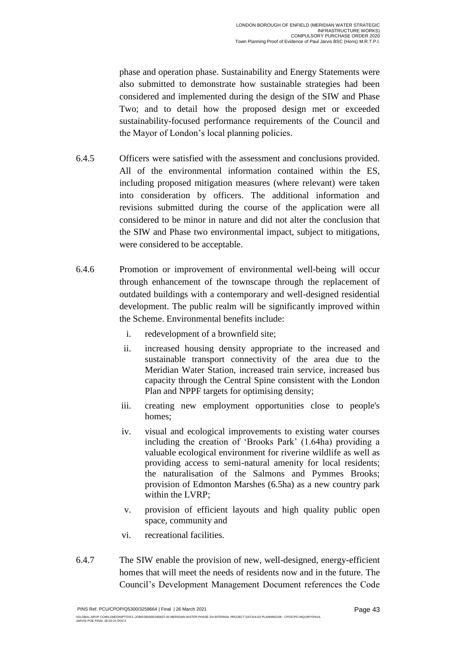phase and operation phase. Sustainability and Energy Statements were also submitted to demonstrate how sustainable strategies had been considered and implemented during the design of the SIW and Phase Two; and to detail how the proposed design met or exceeded sustainability-focused performance requirements of the Council and the Mayor of London's local planning policies.

- 6.4.5 Officers were satisfied with the assessment and conclusions provided. All of the environmental information contained within the ES, including proposed mitigation measures (where relevant) were taken into consideration by officers. The additional information and revisions submitted during the course of the application were all considered to be minor in nature and did not alter the conclusion that the SIW and Phase two environmental impact, subject to mitigations, were considered to be acceptable.
- 6.4.6 Promotion or improvement of environmental well-being will occur through enhancement of the townscape through the replacement of outdated buildings with a contemporary and well-designed residential development. The public realm will be significantly improved within the Scheme. Environmental benefits include:
	- i. redevelopment of a brownfield site;
	- ii. increased housing density appropriate to the increased and sustainable transport connectivity of the area due to the Meridian Water Station, increased train service, increased bus capacity through the Central Spine consistent with the London Plan and NPPF targets for optimising density;
	- iii. creating new employment opportunities close to people's homes;
	- iv. visual and ecological improvements to existing water courses including the creation of 'Brooks Park' (1.64ha) providing a valuable ecological environment for riverine wildlife as well as providing access to semi-natural amenity for local residents; the naturalisation of the Salmons and Pymmes Brooks; provision of Edmonton Marshes (6.5ha) as a new country park within the LVRP;
	- v. provision of efficient layouts and high quality public open space, community and
	- vi. recreational facilities.
- 6.4.7 The SIW enable the provision of new, well-designed, energy-efficient homes that will meet the needs of residents now and in the future. The Council's Development Management Document references the Code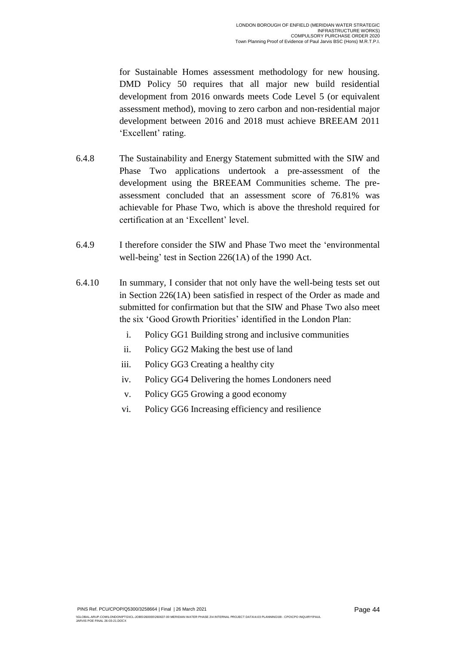for Sustainable Homes assessment methodology for new housing. DMD Policy 50 requires that all major new build residential development from 2016 onwards meets Code Level 5 (or equivalent assessment method), moving to zero carbon and non-residential major development between 2016 and 2018 must achieve BREEAM 2011 'Excellent' rating.

- 6.4.8 The Sustainability and Energy Statement submitted with the SIW and Phase Two applications undertook a pre-assessment of the development using the BREEAM Communities scheme. The preassessment concluded that an assessment score of 76.81% was achievable for Phase Two, which is above the threshold required for certification at an 'Excellent' level.
- 6.4.9 I therefore consider the SIW and Phase Two meet the 'environmental well-being' test in Section 226(1A) of the 1990 Act.
- 6.4.10 In summary, I consider that not only have the well-being tests set out in Section 226(1A) been satisfied in respect of the Order as made and submitted for confirmation but that the SIW and Phase Two also meet the six 'Good Growth Priorities' identified in the London Plan:
	- i. Policy GG1 Building strong and inclusive communities
	- ii. Policy GG2 Making the best use of land
	- iii. Policy GG3 Creating a healthy city
	- iv. Policy GG4 Delivering the homes Londoners need
	- v. Policy GG5 Growing a good economy
	- vi. Policy GG6 Increasing efficiency and resilience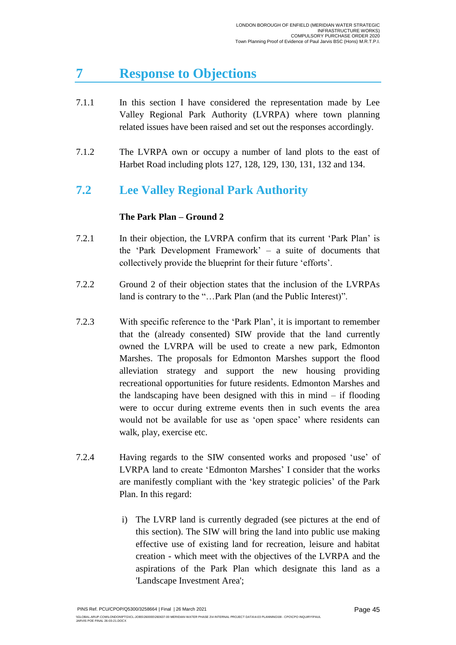# <span id="page-48-0"></span>**7 Response to Objections**

- 7.1.1 In this section I have considered the representation made by Lee Valley Regional Park Authority (LVRPA) where town planning related issues have been raised and set out the responses accordingly.
- 7.1.2 The LVRPA own or occupy a number of land plots to the east of Harbet Road including plots 127, 128, 129, 130, 131, 132 and 134.

#### <span id="page-48-1"></span>**7.2 Lee Valley Regional Park Authority**

#### **The Park Plan – Ground 2**

- 7.2.1 In their objection, the LVRPA confirm that its current 'Park Plan' is the 'Park Development Framework' – a suite of documents that collectively provide the blueprint for their future 'efforts'.
- 7.2.2 Ground 2 of their objection states that the inclusion of the LVRPAs land is contrary to the "…Park Plan (and the Public Interest)".
- 7.2.3 With specific reference to the 'Park Plan', it is important to remember that the (already consented) SIW provide that the land currently owned the LVRPA will be used to create a new park, Edmonton Marshes. The proposals for Edmonton Marshes support the flood alleviation strategy and support the new housing providing recreational opportunities for future residents. Edmonton Marshes and the landscaping have been designed with this in mind – if flooding were to occur during extreme events then in such events the area would not be available for use as 'open space' where residents can walk, play, exercise etc.
- 7.2.4 Having regards to the SIW consented works and proposed 'use' of LVRPA land to create 'Edmonton Marshes' I consider that the works are manifestly compliant with the 'key strategic policies' of the Park Plan. In this regard:
	- i) The LVRP land is currently degraded (see pictures at the end of this section). The SIW will bring the land into public use making effective use of existing land for recreation, leisure and habitat creation - which meet with the objectives of the LVRPA and the aspirations of the Park Plan which designate this land as a 'Landscape Investment Area';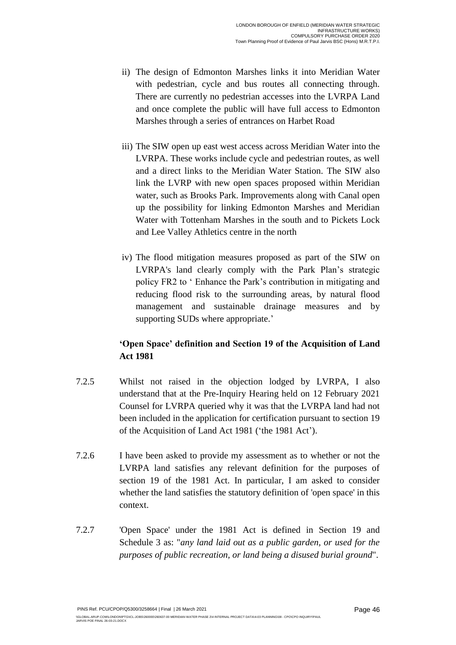- ii) The design of Edmonton Marshes links it into Meridian Water with pedestrian, cycle and bus routes all connecting through. There are currently no pedestrian accesses into the LVRPA Land and once complete the public will have full access to Edmonton Marshes through a series of entrances on Harbet Road
- iii) The SIW open up east west access across Meridian Water into the LVRPA. These works include cycle and pedestrian routes, as well and a direct links to the Meridian Water Station. The SIW also link the LVRP with new open spaces proposed within Meridian water, such as Brooks Park. Improvements along with Canal open up the possibility for linking Edmonton Marshes and Meridian Water with Tottenham Marshes in the south and to Pickets Lock and Lee Valley Athletics centre in the north
- iv) The flood mitigation measures proposed as part of the SIW on LVRPA's land clearly comply with the Park Plan's strategic policy FR2 to ' Enhance the Park's contribution in mitigating and reducing flood risk to the surrounding areas, by natural flood management and sustainable drainage measures and by supporting SUDs where appropriate.'

#### **'Open Space' definition and Section 19 of the Acquisition of Land Act 1981**

- 7.2.5 Whilst not raised in the objection lodged by LVRPA, I also understand that at the Pre-Inquiry Hearing held on 12 February 2021 Counsel for LVRPA queried why it was that the LVRPA land had not been included in the application for certification pursuant to section 19 of the Acquisition of Land Act 1981 ('the 1981 Act').
- 7.2.6 I have been asked to provide my assessment as to whether or not the LVRPA land satisfies any relevant definition for the purposes of section 19 of the 1981 Act. In particular, I am asked to consider whether the land satisfies the statutory definition of 'open space' in this context.
- 7.2.7 'Open Space' under the 1981 Act is defined in Section 19 and Schedule 3 as: "*any land laid out as a public garden, or used for the purposes of public recreation, or land being a disused burial ground*".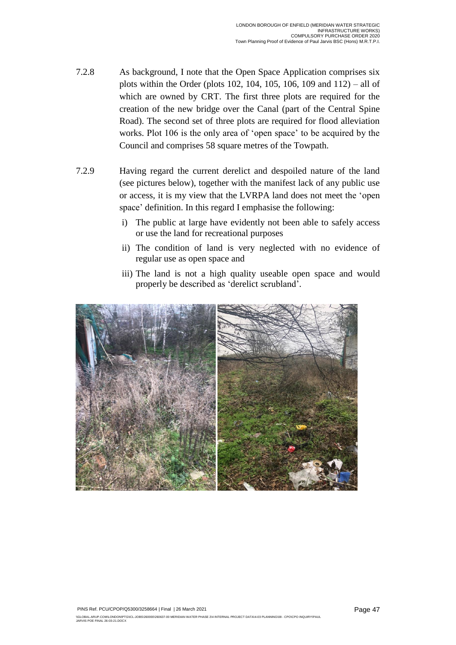- 7.2.8 As background, I note that the Open Space Application comprises six plots within the Order (plots 102, 104, 105, 106, 109 and 112) – all of which are owned by CRT. The first three plots are required for the creation of the new bridge over the Canal (part of the Central Spine Road). The second set of three plots are required for flood alleviation works. Plot 106 is the only area of 'open space' to be acquired by the Council and comprises 58 square metres of the Towpath.
- 7.2.9 Having regard the current derelict and despoiled nature of the land (see pictures below), together with the manifest lack of any public use or access, it is my view that the LVRPA land does not meet the 'open space' definition. In this regard I emphasise the following:
	- i) The public at large have evidently not been able to safely access or use the land for recreational purposes
	- ii) The condition of land is very neglected with no evidence of regular use as open space and
	- iii) The land is not a high quality useable open space and would properly be described as 'derelict scrubland'.

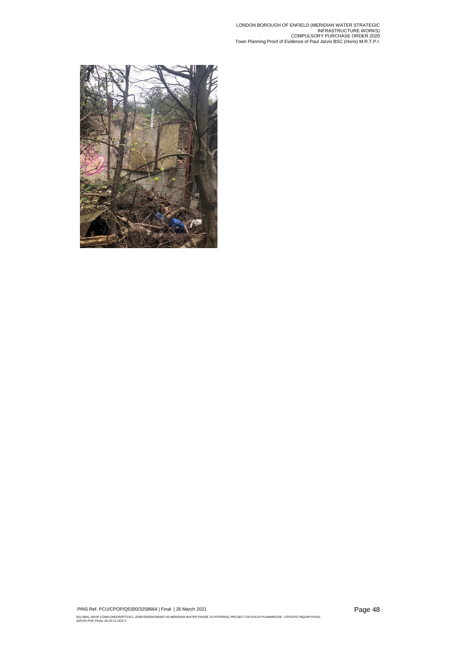LONDON BOROUGH OF ENFIELD (MERIDIAN WATER STRATEGIC<br>INFRASTRUCTURE WORKS)<br>COMPULSORY PURCHASE ORDER 2020<br>Town Planning Proof of Evidence of Paul Jarvis BSC (Hons) M.R.T.P.I.

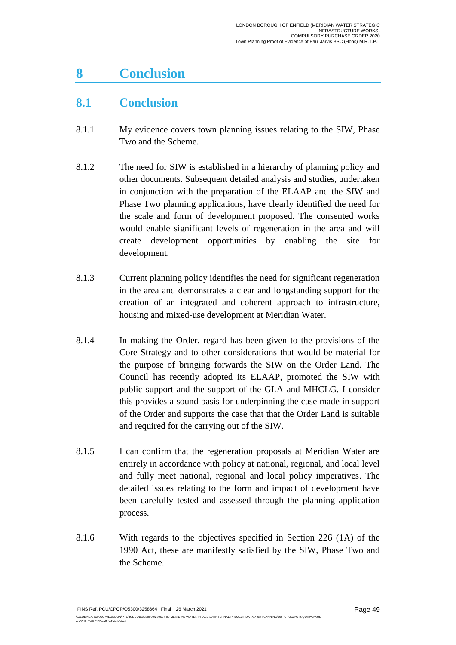# <span id="page-52-0"></span>**8 Conclusion**

### <span id="page-52-1"></span>**8.1 Conclusion**

- 8.1.1 My evidence covers town planning issues relating to the SIW, Phase Two and the Scheme.
- 8.1.2 The need for SIW is established in a hierarchy of planning policy and other documents. Subsequent detailed analysis and studies, undertaken in conjunction with the preparation of the ELAAP and the SIW and Phase Two planning applications, have clearly identified the need for the scale and form of development proposed. The consented works would enable significant levels of regeneration in the area and will create development opportunities by enabling the site for development.
- 8.1.3 Current planning policy identifies the need for significant regeneration in the area and demonstrates a clear and longstanding support for the creation of an integrated and coherent approach to infrastructure, housing and mixed-use development at Meridian Water.
- 8.1.4 In making the Order, regard has been given to the provisions of the Core Strategy and to other considerations that would be material for the purpose of bringing forwards the SIW on the Order Land. The Council has recently adopted its ELAAP, promoted the SIW with public support and the support of the GLA and MHCLG. I consider this provides a sound basis for underpinning the case made in support of the Order and supports the case that that the Order Land is suitable and required for the carrying out of the SIW.
- 8.1.5 I can confirm that the regeneration proposals at Meridian Water are entirely in accordance with policy at national, regional, and local level and fully meet national, regional and local policy imperatives. The detailed issues relating to the form and impact of development have been carefully tested and assessed through the planning application process.
- 8.1.6 With regards to the objectives specified in Section 226 (1A) of the 1990 Act, these are manifestly satisfied by the SIW, Phase Two and the Scheme.